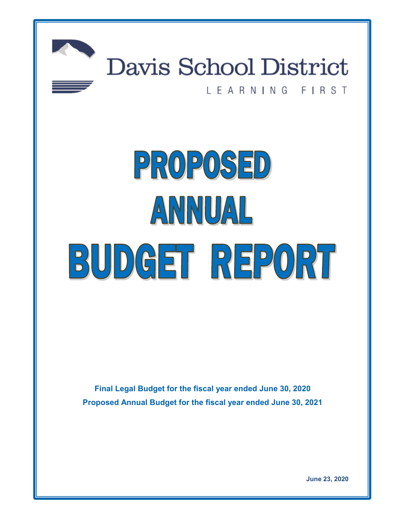

# Davis School District

# LEARNING FIRST

# PROPOSED ANNUAL BUDGET REPORT

**Final Legal Budget for the fiscal year ended June 30, 2020 Proposed Annual Budget for the fiscal year ended June 30, 2021**

**June 23, 2020**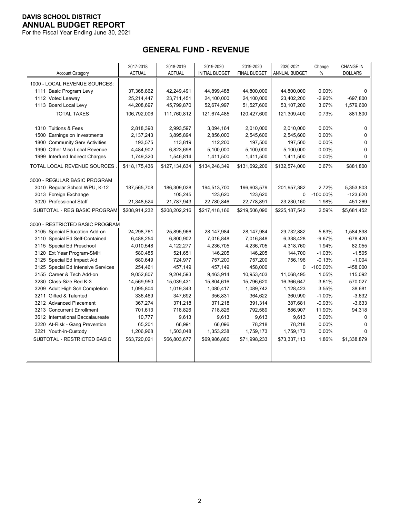For the Fiscal Year Ending June 30, 2021

# **GENERAL FUND - REVENUE**

|                                    | 2017-2018     | 2018-2019     | 2019-2020             | 2019-2020           | 2020-2021     | Change      | CHANGE IN      |
|------------------------------------|---------------|---------------|-----------------------|---------------------|---------------|-------------|----------------|
| <b>Account Category</b>            | <b>ACTUAL</b> | <b>ACTUAL</b> | <b>INITIAL BUDGET</b> | <b>FINAL BUDGET</b> | ANNUAL BUDGET | $\%$        | <b>DOLLARS</b> |
| 1000 - LOCAL REVENUE SOURCES:      |               |               |                       |                     |               |             |                |
| 1111 Basic Program Levy            | 37,368,862    | 42,249,491    | 44,899,488            | 44,800,000          | 44,800,000    | 0.00%       | 0              |
| 1112 Voted Leeway                  | 25,214,447    | 23,711,451    | 24,100,000            | 24,100,000          | 23,402,200    | $-2.90%$    | $-697,800$     |
| 1113 Board Local Levy              | 44,208,697    | 45,799,870    | 52,674,997            | 51,527,600          | 53,107,200    | 3.07%       | 1,579,600      |
| <b>TOTAL TAXES</b>                 | 106,792,006   | 111,760,812   | 121,674,485           | 120,427,600         | 121,309,400   | 0.73%       | 881,800        |
|                                    |               |               |                       |                     |               |             |                |
| 1310 Tuitions & Fees               | 2,818,390     | 2,993,597     | 3,094,164             | 2,010,000           | 2,010,000     | 0.00%       | $\mathbf 0$    |
| 1500 Earnings on Investments       | 2,137,243     | 3,895,894     | 2,856,000             | 2,545,600           | 2,545,600     | 0.00%       | $\mathbf 0$    |
| 1800 Community Serv Activities     | 193,575       | 113,819       | 112,200               | 197,500             | 197,500       | 0.00%       | $\pmb{0}$      |
| 1990 Other Misc Local Revenue      | 4,484,902     | 6,823,698     | 5,100,000             | 5,100,000           | 5,100,000     | 0.00%       | $\mathbf 0$    |
| 1999 Interfund Indirect Charges    | 1,749,320     | 1,546,814     | 1,411,500             | 1,411,500           | 1,411,500     | 0.00%       | $\Omega$       |
| TOTAL LOCAL REVENUE SOURCES        | \$118,175,436 | \$127,134,634 | \$134,248,349         | \$131,692,200       | \$132,574,000 | 0.67%       | \$881,800      |
|                                    |               |               |                       |                     |               |             |                |
| 3000 - REGULAR BASIC PROGRAM       |               |               |                       |                     |               |             |                |
| 3010 Regular School WPU, K-12      | 187,565,708   | 186,309,028   | 194,513,700           | 196,603,579         | 201,957,382   | 2.72%       | 5,353,803      |
| 3013 Foreign Exchange              |               | 105,245       | 123,620               | 123,620             | $\Omega$      | $-100.00\%$ | $-123,620$     |
| 3020 Professional Staff            | 21,348,524    | 21,787,943    | 22,780,846            | 22,778,891          | 23,230,160    | 1.98%       | 451,269        |
| SUBTOTAL - REG BASIC PROGRAM       | \$208,914,232 | \$208,202,216 | \$217,418,166         | \$219,506,090       | \$225,187,542 | 2.59%       | \$5,681,452    |
| 3000 - RESTRICTED BASIC PROGRAM    |               |               |                       |                     |               |             |                |
| 3105 Special Education Add-on      | 24,298,761    | 25,895,966    | 28,147,984            | 28,147,984          | 29,732,882    | 5.63%       | 1,584,898      |
| 3110 Special Ed Self-Contained     | 6,488,254     | 6,800,902     | 7,016,848             | 7,016,848           | 6,338,428     | $-9.67%$    | $-678,420$     |
| 3115 Special Ed Preschool          | 4,010,548     | 4,122,277     | 4,236,705             | 4,236,705           | 4,318,760     | 1.94%       | 82,055         |
| 3120 Ext Year Program-SMH          | 580,485       | 521,651       | 146,205               | 146,205             | 144,700       | $-1.03%$    | $-1,505$       |
| 3125 Special Ed Impact Aid         | 680,649       | 724,977       | 757,200               | 757,200             | 756,196       | $-0.13%$    | $-1,004$       |
| 3125 Special Ed Intensive Services | 254,461       | 457,149       | 457,149               | 458,000             | $\Omega$      | $-100.00\%$ | $-458,000$     |
| 3155 Career & Tech Add-on          | 9,052,807     | 9,204,593     | 9,463,914             | 10,953,403          | 11,068,495    | 1.05%       | 115,092        |
| 3230 Class-Size Red K-3            | 14,569,950    | 15,039,431    | 15,804,616            | 15,796,620          | 16,366,647    | 3.61%       | 570,027        |
| 3209 Adult High Sch Completion     | 1,095,804     | 1,019,343     | 1,080,417             | 1,089,742           | 1,128,423     | 3.55%       | 38,681         |
| 3211 Gifted & Talented             | 336,469       | 347,692       | 356,831               | 364,622             | 360,990       | $-1.00%$    | $-3,632$       |
| 3212 Advanced Placement            | 367,274       | 371,218       | 371,218               | 391,314             | 387,681       | $-0.93%$    | $-3,633$       |
| 3213 Concurrent Enrollment         | 701,613       | 718,826       | 718,826               | 792,589             | 886,907       | 11.90%      | 94,318         |
| 3612 International Baccalaureate   | 10,777        | 9,613         | 9,613                 | 9,613               | 9,613         | 0.00%       | $\Omega$       |
| 3220 At-Risk - Gang Prevention     | 65,201        | 66,991        | 66,096                | 78,218              | 78,218        | 0.00%       | $\mathbf 0$    |
| 3221 Youth-in-Custody              | 1,206,968     | 1,503,048     | 1,353,238             | 1,759,173           | 1,759,173     | 0.00%       | $\Omega$       |
| SUBTOTAL - RESTRICTED BASIC        | \$63,720,021  | \$66,803,677  | \$69,986,860          | \$71,998,233        | \$73,337,113  | 1.86%       | \$1,338,879    |
|                                    |               |               |                       |                     |               |             |                |
|                                    |               |               |                       |                     |               |             |                |
|                                    |               |               |                       |                     |               |             |                |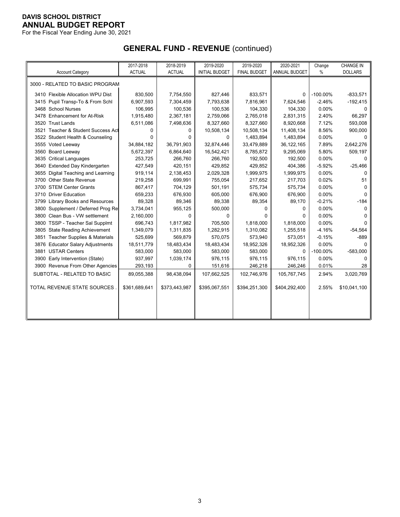For the Fiscal Year Ending June 30, 2021

# **GENERAL FUND - REVENUE** (continued)

|                                    | 2017-2018     | 2018-2019     | 2019-2020             | 2019-2020           | 2020-2021     | Change      | <b>CHANGE IN</b> |
|------------------------------------|---------------|---------------|-----------------------|---------------------|---------------|-------------|------------------|
| <b>Account Category</b>            | <b>ACTUAL</b> | <b>ACTUAL</b> | <b>INITIAL BUDGET</b> | <b>FINAL BUDGET</b> | ANNUAL BUDGET | $\%$        | <b>DOLLARS</b>   |
| 3000 - RELATED TO BASIC PROGRAM    |               |               |                       |                     |               |             |                  |
| 3410 Flexible Allocation WPU Dist  | 830,500       | 7,754,550     | 827,446               | 833,571             | $\Omega$      | $-100.00\%$ | $-833,571$       |
| 3415 Pupil Transp-To & From Schl   | 6,907,593     | 7,304,459     | 7,793,638             | 7,816,961           | 7,624,546     | $-2.46%$    | $-192,415$       |
| 3468 School Nurses                 | 106,995       | 100,536       | 100,536               | 104,330             | 104,330       | 0.00%       | 0                |
| 3478 Enhancement for At-Risk       | 1,915,480     | 2,367,181     | 2,759,066             | 2,765,018           | 2,831,315     | 2.40%       | 66,297           |
| 3520 Trust Lands                   | 6,511,086     | 7,498,636     | 8,327,660             | 8,327,660           | 8,920,668     | 7.12%       | 593,008          |
| 3521 Teacher & Student Success Act | 0             | 0             | 10,508,134            | 10,508,134          | 11,408,134    | 8.56%       | 900,000          |
| 3522 Student Health & Counseling   | 0             | 0             | 0                     | 1,483,894           | 1,483,894     | 0.00%       | O                |
| 3555 Voted Leeway                  | 34,884,182    | 36,791,903    | 32,874,446            | 33,479,889          | 36,122,165    | 7.89%       | 2,642,276        |
| 3560 Board Leeway                  | 5,672,397     | 6,864,640     | 16,542,421            | 8,785,872           | 9,295,069     | 5.80%       | 509,197          |
| 3635 Critical Languages            | 253,725       | 266,760       | 266,760               | 192,500             | 192,500       | 0.00%       | 0                |
| 3640 Extended Day Kindergarten     | 427,549       | 420,151       | 429,852               | 429,852             | 404,386       | $-5.92%$    | $-25,466$        |
| 3655 Digital Teaching and Learning | 919,114       | 2,138,453     | 2,029,328             | 1,999,975           | 1,999,975     | 0.00%       | $\Omega$         |
| 3700 Other State Revenue           | 219,258       | 699,991       | 755,054               | 217,652             | 217,703       | 0.02%       | 51               |
| 3700 STEM Center Grants            | 867,417       | 704,129       | 501,191               | 575,734             | 575,734       | 0.00%       | U                |
| 3710 Driver Education              | 659,233       | 676,930       | 605,000               | 676,900             | 676,900       | 0.00%       | 0                |
| 3799 Library Books and Resources   | 89,328        | 89,346        | 89,338                | 89,354              | 89,170        | $-0.21%$    | $-184$           |
| 3800 Supplement / Deferred Prog Re | 3,734,041     | 955,125       | 500,000               | 0                   | $\Omega$      | 0.00%       | 0                |
| 3800 Clean Bus - VW settlement     | 2,160,000     | 0             | 0                     | 0                   | 0             | 0.00%       | O                |
| 3800 TSSP - Teacher Sal Supplmt    | 696,743       | 1,817,982     | 705,500               | 1,818,000           | 1,818,000     | 0.00%       | O                |
| 3805 State Reading Achievement     | 1,349,079     | 1,311,835     | 1,282,915             | 1,310,082           | 1,255,518     | $-4.16%$    | $-54,564$        |
| 3851 Teacher Supplies & Materials  | 525,699       | 569,879       | 570,075               | 573,940             | 573,051       | $-0.15%$    | $-889$           |
| 3876 Educator Salary Adjustments   | 18,511,779    | 18,483,434    | 18,483,434            | 18,952,326          | 18,952,326    | 0.00%       | 0                |
| 3881 USTAR Centers                 | 583,000       | 583,000       | 583,000               | 583,000             | 0             | $-100.00\%$ | $-583,000$       |
| 3900 Early Intervention (State)    | 937,997       | 1,039,174     | 976,115               | 976,115             | 976,115       | 0.00%       | 0                |
| 3900 Revenue From Other Agencies   | 293,193       | 0             | 151,616               | 246,218             | 246,246       | 0.01%       | 28               |
| SUBTOTAL - RELATED TO BASIC        | 89,055,388    | 98,438,094    | 107,662,525           | 102,746,976         | 105,767,745   | 2.94%       | 3,020,769        |
| TOTAL REVENUE STATE SOURCES        | \$361,689,641 | \$373,443,987 | \$395,067,551         | \$394,251,300       | \$404,292,400 | 2.55%       | \$10,041,100     |
|                                    |               |               |                       |                     |               |             |                  |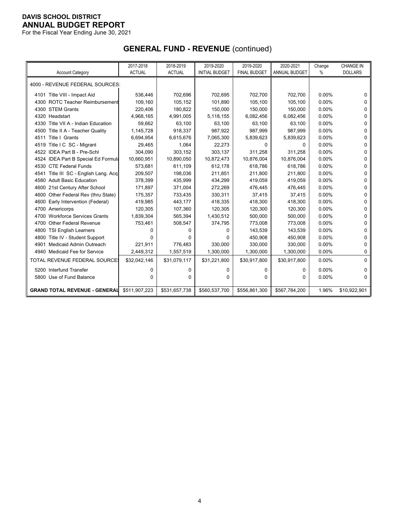For the Fiscal Year Ending June 30, 2021

# **GENERAL FUND - REVENUE** (continued)

|                                          | 2017-2018     | 2018-2019     | 2019-2020             | 2019-2020           | 2020-2021            | Change | <b>CHANGE IN</b> |
|------------------------------------------|---------------|---------------|-----------------------|---------------------|----------------------|--------|------------------|
| <b>Account Category</b>                  | <b>ACTUAL</b> | <b>ACTUAL</b> | <b>INITIAL BUDGET</b> | <b>FINAL BUDGET</b> | <b>ANNUAL BUDGET</b> | $\%$   | <b>DOLLARS</b>   |
| 4000 - REVENUE FEDERAL SOURCES:          |               |               |                       |                     |                      |        |                  |
|                                          |               |               |                       |                     |                      |        |                  |
| 4101 Title VIII - Impact Aid             | 536,446       | 702,696       | 702,695               | 702,700             | 702,700              | 0.00%  | 0                |
| 4300 ROTC Teacher Reimbursement          | 109,160       | 105,152       | 101,890               | 105,100             | 105,100              | 0.00%  | 0                |
| 4300 STEM Grants                         | 220,406       | 180,822       | 150,000               | 150,000             | 150,000              | 0.00%  | 0                |
| 4320 Headstart                           | 4,968,165     | 4,991,005     | 5.118.155             | 6,082,456           | 6,082,456            | 0.00%  | 0                |
| 4330 Title VII A - Indian Education      | 59,662        | 63,100        | 63,100                | 63,100              | 63,100               | 0.00%  | 0                |
| Title II A - Teacher Quality<br>4500     | 1,145,728     | 918,337       | 987,922               | 987,999             | 987,999              | 0.00%  | 0                |
| 4511 Title I Grants                      | 6,694,954     | 6,615,676     | 7,065,300             | 5,839,623           | 5,839,623            | 0.00%  | 0                |
| 4519 Title I C SC - Migrant              | 29,465        | 1,064         | 22,273                | 0                   | $\Omega$             | 0.00%  | 0                |
| 4522 IDEA Part B - Pre-Schl              | 304,090       | 303,152       | 303,137               | 311,258             | 311,258              | 0.00%  | 0                |
| 4524 IDEA Part B Special Ed Formula      | 10,660,951    | 10,890,050    | 10,872,473            | 10,876,004          | 10,876,004           | 0.00%  | 0                |
| 4530 CTE Federal Funds                   | 573.681       | 611,109       | 612,178               | 618.786             | 618.786              | 0.00%  | 0                |
| 4541 Title III SC - English Lang. Acq    | 209,507       | 198,036       | 211,851               | 211,800             | 211,800              | 0.00%  | 0                |
| 4580 Adult Basic Education               | 378,399       | 435,999       | 434,299               | 419,059             | 419,059              | 0.00%  | 0                |
| 4600 21st Century After School           | 171,897       | 371,004       | 272,269               | 476,445             | 476,445              | 0.00%  | 0                |
| 4600 Other Federal Rev (thru State)      | 175,357       | 733,435       | 330,311               | 37,415              | 37,415               | 0.00%  | U                |
| Early Intervention (Federal)<br>4600     | 419,985       | 443,177       | 418,335               | 418,300             | 418,300              | 0.00%  | 0                |
| 4700 Americorps                          | 120,305       | 107,360       | 120,305               | 120,300             | 120,300              | 0.00%  | 0                |
| <b>Workforce Services Grants</b><br>4700 | 1,839,304     | 565,394       | 1,430,512             | 500,000             | 500,000              | 0.00%  | 0                |
| 4700 Other Federal Revenue               | 753,461       | 508,547       | 374,795               | 773,008             | 773,008              | 0.00%  | 0                |
| 4800 TSI English Learners                | 0             | 0             | O                     | 143,539             | 143,539              | 0.00%  | 0                |
| Title IV - Student Support<br>4800       | 0             | 0             | $\Omega$              | 450,908             | 450,908              | 0.00%  | 0                |
| Medicaid Admin Outreach<br>4901          | 221,911       | 776,483       | 330,000               | 330,000             | 330,000              | 0.00%  | 0                |
| 4940 Medicaid Fee for Service            | 2,449,312     | 1,557,519     | 1,300,000             | 1,300,000           | 1,300,000            | 0.00%  | 0                |
| <b>TOTAL REVENUE FEDERAL SOURCE:</b>     | \$32,042,146  | \$31,079,117  | \$31,221,800          | \$30,917,800        | \$30,917,800         | 0.00%  | 0                |
| 5200 Interfund Transfer                  | 0             | 0             | 0                     | $\Omega$            | $\Omega$             | 0.00%  | 0                |
| 5800 Use of Fund Balance                 | $\Omega$      | $\Omega$      | $\Omega$              | $\Omega$            | 0                    | 0.00%  | $\Omega$         |
|                                          |               |               |                       |                     |                      |        |                  |
| <b>GRAND TOTAL REVENUE - GENERAL</b>     | \$511.907.223 | \$531,657,738 | \$560,537,700         | \$556,861,300       | \$567,784,200        | 1.96%  | \$10,922,901     |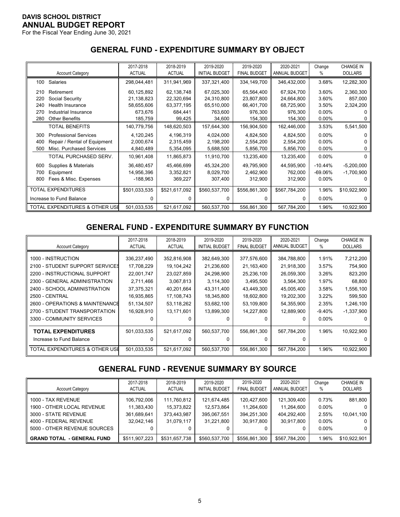For the Fiscal Year Ending June 30, 2021

# **GENERAL FUND - EXPENDITURE SUMMARY BY OBJECT**

|     |                                | 2017-2018     | 2018-2019     | 2019-2020             | 2019-2020           | 2020-2021     | Change    | <b>CHANGE IN</b> |
|-----|--------------------------------|---------------|---------------|-----------------------|---------------------|---------------|-----------|------------------|
|     | <b>Account Category</b>        | <b>ACTUAL</b> | <b>ACTUAL</b> | <b>INITIAL BUDGET</b> | <b>FINAL BUDGET</b> | ANNUAL BUDGET | %         | <b>DOLLARS</b>   |
| 100 | <b>Salaries</b>                | 298,044,481   | 311,941,969   | 337,321,400           | 334,149,700         | 346,432,000   | 3.68%     | 12,282,300       |
| 210 | Retirement                     | 60,125,892    | 62,138,748    | 67,025,300            | 65,564,400          | 67,924,700    | 3.60%     | 2,360,300        |
| 220 | Social Security                | 21,138,823    | 22,320,694    | 24,310,800            | 23,807,800          | 24,664,800    | 3.60%     | 857,000          |
| 240 | Health Insurance               | 58,655,606    | 63,377,195    | 65,510,000            | 66,401,700          | 68,725,900    | 3.50%     | 2,324,200        |
| 270 | Industrial Insurance           | 673,676       | 684,441       | 763,600               | 976,300             | 976,300       | $0.00\%$  |                  |
| 280 | <b>Other Benefits</b>          | 185,759       | 99,425        | 34,600                | 154,300             | 154,300       | $0.00\%$  | 0                |
|     | <b>TOTAL BENEFITS</b>          | 140,779,756   | 148,620,503   | 157,644,300           | 156,904,500         | 162,446,000   | 3.53%     | 5,541,500        |
| 300 | <b>Professional Services</b>   | 4,120,245     | 4,196,319     | 4,024,000             | 4,824,500           | 4,824,500     | 0.00%     |                  |
| 400 | Repair / Rental of Equipment   | 2,000,674     | 2,315,459     | 2,198,200             | 2,554,200           | 2,554,200     | $0.00\%$  |                  |
| 500 | Misc. Purchased Services       | 4,840,489     | 5,354,095     | 5,688,500             | 5,856,700           | 5,856,700     | $0.00\%$  |                  |
|     | TOTAL PURCHASED SERV.          | 10,961,408    | 11,865,873    | 11,910,700            | 13,235,400          | 13,235,400    | 0.00%     | 0                |
| 600 | Supplies & Materials           | 36,480,457    | 45,466,699    | 45,324,200            | 49,795,900          | 44,595,900    | $-10.44%$ | $-5,200,000$     |
| 700 | Equipment                      | 14,956,396    | 3,352,821     | 8,029,700             | 2,462,900           | 762,000       | $-69.06%$ | $-1,700,900$     |
| 800 | Fees & Misc. Expenses          | -188,963      | 369,227       | 307,400               | 312,900             | 312,900       | $0.00\%$  |                  |
|     | <b>TOTAL EXPENDITURES</b>      | \$501,033,535 | \$521,617,092 | \$560,537,700         | \$556,861,300       | \$567,784,200 | 1.96%     | \$10,922,900     |
|     | Increase to Fund Balance       | 0             | <sup>0</sup>  | <sup>0</sup>          | 0                   | 0             | $0.00\%$  | n                |
|     | TOTAL EXPENDITURES & OTHER USE | 501,033,535   | 521,617,092   | 560,537,700           | 556,861,300         | 567,784,200   | 1.96%     | 10,922,900       |

# **GENERAL FUND - EXPENDITURE SUMMARY BY FUNCTION**

|                                 | 2017-2018<br><b>ACTUAL</b> | 2018-2019<br><b>ACTUAL</b> | 2019-2020<br><b>INITIAL BUDGET</b> | 2019-2020<br><b>FINAL BUDGET</b> | 2020-2021<br>ANNUAL BUDGET | Change   | <b>CHANGE IN</b><br><b>DOLLARS</b> |
|---------------------------------|----------------------------|----------------------------|------------------------------------|----------------------------------|----------------------------|----------|------------------------------------|
| <b>Account Category</b>         |                            |                            |                                    |                                  |                            | %        |                                    |
| 1000 - INSTRUCTION              | 336,237,490                | 352,816,908                | 382,649,300                        | 377,576,600                      | 384,788,800                | 1.91%    | 7,212,200                          |
| 2100 - STUDENT SUPPORT SERVICES | 17,708,229                 | 19,104,242                 | 21,236,600                         | 21,163,400                       | 21,918,300                 | 3.57%    | 754,900                            |
| 2200 - INSTRUCTIONAL SUPPORT    | 22,001,747                 | 23,027,859                 | 24,298,900                         | 25,236,100                       | 26,059,300                 | 3.26%    | 823,200                            |
| 2300 - GENERAL ADMINISTRATION   | 2,711,466                  | 3,067,813                  | 3,114,300                          | 3,495,500                        | 3,564,300                  | 1.97%    | 68,800                             |
| 2400 - SCHOOL ADMINISTRATION    | 37,375,321                 | 40,201,664                 | 43,311,400                         | 43,449,300                       | 45,005,400                 | 3.58%    | 1,556,100                          |
| 2500 - CENTRAL                  | 16,935,865                 | 17,108,743                 | 18,345,800                         | 18,602,800                       | 19,202,300                 | 3.22%    | 599,500                            |
| 2600 - OPERATIONS & MAINTENANCE | 51,134,507                 | 53,118,262                 | 53,682,100                         | 53,109,800                       | 54,355,900                 | 2.35%    | 1,246,100                          |
| 2700 - STUDENT TRANSPORTATION   | 16,928,910                 | 13,171,601                 | 13,899,300                         | 14,227,800                       | 12,889,900                 | $-9.40%$ | $-1,337,900$                       |
| 3300 - COMMUNITY SERVICES       |                            |                            |                                    |                                  | 0                          | $0.00\%$ |                                    |
| <b>TOTAL EXPENDITURES</b>       | 501,033,535                | 521,617,092                | 560,537,700                        | 556,861,300                      | 567,784,200                | 1.96%    | 10,922,900                         |
| Increase to Fund Balance        |                            |                            |                                    |                                  | 0                          |          |                                    |
| TOTAL EXPENDITURES & OTHER USI  | 501,033,535                | 521,617,092                | 560.537.700                        | 556.861.300                      | 567.784.200                | 1.96%    | 10,922,900                         |

# **GENERAL FUND - REVENUE SUMMARY BY SOURCE**

| <b>Account Category</b>                                                                                                            | 2017-2018<br><b>ACTUAL</b>                             | 2018-2019<br><b>ACTUAL</b>                             | 2019-2020<br><b>INITIAL BUDGET</b>                     | 2019-2020<br><b>FINAL BUDGET</b>                       | 2020-2021<br>ANNUAL BUDGET                                  | Change<br>%                                        | <b>CHANGE IN</b><br><b>DOLLARS</b>       |
|------------------------------------------------------------------------------------------------------------------------------------|--------------------------------------------------------|--------------------------------------------------------|--------------------------------------------------------|--------------------------------------------------------|-------------------------------------------------------------|----------------------------------------------------|------------------------------------------|
| 1000 - TAX REVENUE<br>1900 - OTHER LOCAL REVENUE<br>3000 - STATE REVENUE<br>4000 - FEDERAL REVENUE<br>5000 - OTHER REVENUE SOURCES | 106,792,006<br>11,383,430<br>361,689,641<br>32.042.146 | 111,760,812<br>15,373,822<br>373,443,987<br>31.079.117 | 121,674,485<br>12,573,864<br>395,067,551<br>31.221.800 | 120.427.600<br>11.264.600<br>394.251.300<br>30,917,800 | 121,309,400<br>11.264.600<br>404.292.400<br>30.917.800<br>0 | 0.73%<br>$0.00\%$<br>2.55%<br>$0.00\%$<br>$0.00\%$ | 881,800<br>0  <br>10,041,100<br>0  <br>0 |
| <b>GRAND TOTAL - GENERAL FUND</b>                                                                                                  | \$511,907,223                                          | \$531,657,738                                          | \$560,537,700                                          | \$556,861,300                                          | \$567,784,200                                               | 1.96%                                              | \$10,922,901                             |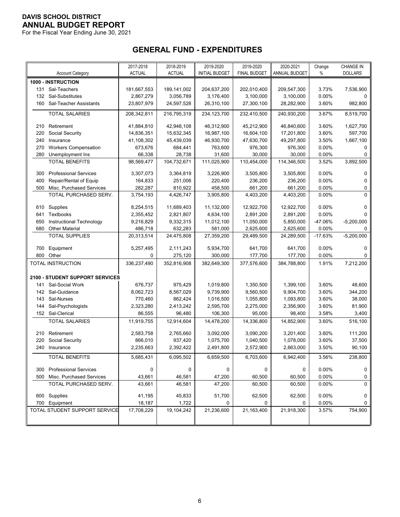For the Fiscal Year Ending June 30, 2021

# **GENERAL FUND - EXPENDITURES**

|     |                                 | 2017-2018     | 2018-2019     | 2019-2020             | 2019-2020           | 2020-2021     | Change    | <b>CHANGE IN</b> |
|-----|---------------------------------|---------------|---------------|-----------------------|---------------------|---------------|-----------|------------------|
|     | <b>Account Category</b>         | <b>ACTUAL</b> | <b>ACTUAL</b> | <b>INITIAL BUDGET</b> | <b>FINAL BUDGET</b> | ANNUAL BUDGET | %         | <b>DOLLARS</b>   |
|     | 1000 - INSTRUCTION              |               |               |                       |                     |               |           |                  |
|     | 131 Sal-Teachers                | 181,667,553   | 189, 141, 002 | 204,637,200           | 202,010,400         | 209,547,300   | 3.73%     | 7,536,900        |
|     | 132 Sal-Substitutes             | 2,867,279     | 3,056,789     | 3,176,400             | 3,100,000           | 3,100,000     | 0.00%     | 0                |
|     | 160 Sal-Teacher Assistants      | 23,807,979    | 24,597,528    | 26,310,100            | 27,300,100          | 28,282,900    | 3.60%     | 982,800          |
|     | <b>TOTAL SALARIES</b>           | 208,342,811   | 216,795,319   | 234,123,700           | 232,410,500         | 240,930,200   | 3.67%     | 8,519,700        |
| 210 | Retirement                      | 41,884,810    | 42,948,108    | 46,312,900            | 45,212,900          | 46,840,600    | 3.60%     | 1,627,700        |
| 220 | Social Security                 | 14,836,351    | 15,632,345    | 16,987,100            | 16,604,100          | 17,201,800    | 3.60%     | 597,700          |
| 240 | Insurance                       | 41,108,302    | 45,439,039    | 46,930,700            | 47,630,700          | 49,297,800    | 3.50%     | 1,667,100        |
| 270 | <b>Workers Compensation</b>     | 673,676       | 684,441       | 763,600               | 976,300             | 976,300       | 0.00%     | 0                |
| 280 | Unemployment Ins                | 66,338        | 28,738        | 31,600                | 30,000              | 30,000        | 0.00%     | 0                |
|     | <b>TOTAL BENEFITS</b>           | 98,569,477    | 104,732,671   | 111,025,900           | 110,454,000         | 114,346,500   | 3.52%     | 3,892,500        |
| 300 | <b>Professional Services</b>    | 3,307,073     | 3,364,819     | 3,226,900             | 3,505,800           | 3,505,800     | 0.00%     | 0                |
| 400 | Repair/Rental of Equip          | 164,833       | 251,006       | 220,400               | 236,200             | 236,200       | 0.00%     | 0                |
| 500 | Misc. Purchased Services        | 282,287       | 810,922       | 458,500               | 661,200             | 661,200       | 0.00%     | 0                |
|     | TOTAL PURCHASED SERV.           | 3,754,193     | 4,426,747     | 3,905,800             | 4,403,200           | 4,403,200     | 0.00%     | 0                |
|     |                                 |               |               |                       |                     |               |           |                  |
|     | 610 Supplies                    | 8,254,515     | 11,689,403    | 11,132,000            | 12,922,700          | 12,922,700    | 0.00%     | 0                |
| 641 | Textbooks                       | 2,355,452     | 2,821,807     | 4,634,100             | 2,891,200           | 2,891,200     | 0.00%     | 0                |
| 650 | Instructional Technology        | 9,216,829     | 9,332,315     | 11,012,100            | 11,050,000          | 5,850,000     | -47.06%   | $-5,200,000$     |
| 680 | <b>Other Material</b>           | 486,718       | 632,283       | 581,000               | 2,625,600           | 2,625,600     | 0.00%     | 0                |
|     | <b>TOTAL SUPPLIES</b>           | 20,313,514    | 24,475,808    | 27,359,200            | 29,489,500          | 24,289,500    | $-17.63%$ | $-5,200,000$     |
| 700 | Equipment                       | 5,257,495     | 2,111,243     | 5,934,700             | 641,700             | 641,700       | 0.00%     | 0                |
| 800 | Other                           | 0             | 275,120       | 300,000               | 177,700             | 177,700       | 0.00%     | 0                |
|     | TOTAL INSTRUCTION               | 336,237,490   | 352,816,908   | 382,649,300           | 377,576,600         | 384,788,800   | 1.91%     | 7,212,200        |
|     | 2100 - STUDENT SUPPORT SERVICES |               |               |                       |                     |               |           |                  |
| 141 | Sal-Social Work                 | 676,737       | 975,429       | 1,019,800             | 1,350,500           | 1,399,100     | 3.60%     | 48,600           |
|     | 142 Sal-Guidance                | 8,062,723     | 8,567,029     | 9,739,900             | 9,560,500           | 9,904,700     | 3.60%     | 344,200          |
| 143 | Sal-Nurses                      | 770,460       | 862,424       | 1,016,500             | 1,055,800           | 1,093,800     | 3.60%     | 38,000           |
| 144 | Sal-Psychologists               | 2,323,280     | 2,413,242     | 2,595,700             | 2,275,000           | 2,356,900     | 3.60%     | 81,900           |
|     | 152 Sal-Clerical                | 86,555        | 96,480        | 106,300               | 95,000              | 98,400        | 3.58%     | 3,400            |
|     | <b>TOTAL SALARIES</b>           | 11,919,755    | 12,914,604    | 14,478,200            | 14,336,800          | 14,852,900    | 3.60%     | 516,100          |
| 210 | Retirement                      | 2,583,758     | 2,765,660     | 3,092,000             | 3,090,200           | 3,201,400     | 3.60%     | 111,200          |
| 220 | Social Security                 | 866,010       | 937,420       | 1,075,700             | 1,040,500           | 1,078,000     | 3.60%     | 37,500           |
|     | 240 Insurance                   | 2,235,663     | 2,392,422     | 2,491,800             | 2,572,900           | 2,663,000     | 3.50%     | 90,100           |
|     | TOTAL BENEFITS                  | 5,685,431     | 6,095,502     | 6,659,500             | 6,703,600           | 6,942,400     | 3.56%     | 238,800          |
| 300 | <b>Professional Services</b>    | $\mathbf 0$   | 0             | 0                     | 0                   | 0             | 0.00%     | 0                |
| 500 | Misc. Purchased Services        | 43,661        | 46,581        | 47,200                | 60,500              | 60,500        | 0.00%     | 0                |
|     | TOTAL PURCHASED SERV.           | 43,661        | 46,581        | 47,200                | 60,500              | 60,500        | 0.00%     | $\Omega$         |
|     | 600 Supplies                    | 41,195        | 45,833        | 51,700                | 62,500              | 62,500        | $0.00\%$  | 0                |
|     | 700 Equipment                   | 18,187        | 1,722         | 0                     | 0                   | 0             | 0.00%     | 0                |
|     | TOTAL STUDENT SUPPORT SERVICE   | 17,708,229    | 19,104,242    | 21,236,600            | 21,163,400          | 21,918,300    | 3.57%     | 754,900          |
|     |                                 |               |               |                       |                     |               |           |                  |
|     |                                 |               |               |                       |                     |               |           |                  |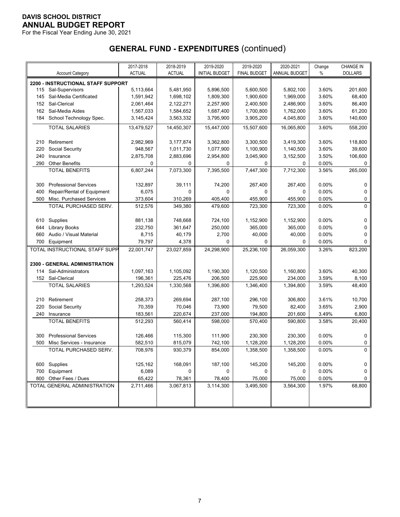For the Fiscal Year Ending June 30, 2021

|     |                                           | 2017-2018     | 2018-2019     | 2019-2020             | 2019-2020           | 2020-2021     | Change | <b>CHANGE IN</b> |
|-----|-------------------------------------------|---------------|---------------|-----------------------|---------------------|---------------|--------|------------------|
|     | <b>Account Category</b>                   | <b>ACTUAL</b> | <b>ACTUAL</b> | <b>INITIAL BUDGET</b> | <b>FINAL BUDGET</b> | ANNUAL BUDGET | %      | <b>DOLLARS</b>   |
|     | 2200 - INSTRUCTIONAL STAFF SUPPORT        |               |               |                       |                     |               |        |                  |
|     | 115 Sal-Supervisors                       | 5,113,664     | 5,481,950     | 5,896,500             | 5,600,500           | 5,802,100     | 3.60%  | 201,600          |
| 145 | Sal-Media Certificated                    | 1,591,942     | 1,698,102     | 1,809,300             | 1,900,600           | 1,969,000     | 3.60%  | 68,400           |
| 152 | Sal-Clerical                              | 2,061,464     | 2,122,271     | 2,257,900             | 2,400,500           | 2,486,900     | 3.60%  | 86,400           |
| 162 | Sal-Media Aides                           | 1,567,033     | 1,584,652     | 1,687,400             | 1,700,800           | 1,762,000     | 3.60%  | 61,200           |
| 184 | School Technology Spec.                   | 3,145,424     | 3,563,332     | 3,795,900             | 3,905,200           | 4,045,800     | 3.60%  | 140,600          |
|     | <b>TOTAL SALARIES</b>                     | 13,479,527    | 14,450,307    | 15,447,000            | 15,507,600          | 16,065,800    | 3.60%  | 558,200          |
|     |                                           |               |               |                       |                     |               |        |                  |
| 210 | Retirement                                | 2,982,969     | 3,177,874     | 3,362,800             | 3,300,500           | 3,419,300     | 3.60%  | 118,800          |
| 220 | Social Security                           | 948,567       | 1,011,730     | 1,077,900             | 1,100,900           | 1,140,500     | 3.60%  | 39,600           |
| 240 | Insurance                                 | 2,875,708     | 2,883,696     | 2,954,800             | 3,045,900           | 3,152,500     | 3.50%  | 106,600          |
| 290 | <b>Other Benefits</b>                     | 0             | 0             | 0                     | 0                   | 0             | 0.00%  | 0                |
|     | <b>TOTAL BENEFITS</b>                     | 6,807,244     | 7,073,300     | 7,395,500             | 7,447,300           | 7,712,300     | 3.56%  | 265,000          |
|     |                                           |               |               |                       |                     |               |        |                  |
| 300 | <b>Professional Services</b>              | 132,897       | 39,111        | 74,200                | 267,400             | 267,400       | 0.00%  | 0                |
| 400 | Repair/Rental of Equipment                | 6,075         | $\mathbf 0$   | $\Omega$              | 0                   | 0             | 0.00%  | 0                |
| 500 | Misc. Purchased Services                  | 373,604       | 310,269       | 405,400               | 455,900             | 455,900       | 0.00%  | 0                |
|     | TOTAL PURCHASED SERV.                     | 512,576       | 349,380       | 479,600               | 723,300             | 723,300       | 0.00%  | 0                |
|     |                                           |               |               |                       |                     |               |        |                  |
| 610 | Supplies                                  | 881,138       | 748,668       | 724,100               | 1,152,900           | 1,152,900     | 0.00%  | 0                |
| 644 | <b>Library Books</b>                      | 232,750       | 361,647       | 250,000               | 365,000             | 365,000       | 0.00%  | 0                |
| 660 | Audio / Visual Material                   | 8,715         | 40,179        | 2,700                 | 40,000              | 40,000        | 0.00%  | 0                |
| 700 | Equipment                                 | 79,797        | 4,378         | 0                     | 0                   | 0             | 0.00%  | 0                |
|     | TOTAL INSTRUCTIONAL STAFF SUPP            | 22,001,747    | 23,027,859    | 24,298,900            | 25,236,100          | 26,059,300    | 3.26%  | 823,200          |
|     |                                           |               |               |                       |                     |               |        |                  |
|     | 2300 - GENERAL ADMINISTRATION             |               |               |                       |                     |               | 3.60%  |                  |
|     | 114 Sal-Administrators                    | 1,097,163     | 1,105,092     | 1,190,300             | 1,120,500           | 1,160,800     |        | 40,300           |
|     | 152 Sal-Clerical<br><b>TOTAL SALARIES</b> | 196,361       | 225,476       | 206,500               | 225,900             | 234,000       | 3.59%  | 8,100            |
|     |                                           | 1,293,524     | 1,330,568     | 1,396,800             | 1,346,400           | 1,394,800     | 3.59%  | 48,400           |
| 210 | Retirement                                | 258,373       | 269,694       | 287,100               | 296,100             | 306,800       | 3.61%  | 10,700           |
| 220 | Social Security                           | 70,359        | 70,046        | 73,900                | 79,500              | 82,400        | 3.65%  | 2,900            |
| 240 | Insurance                                 | 183,561       | 220,674       | 237,000               | 194,800             | 201,600       | 3.49%  | 6,800            |
|     | <b>TOTAL BENEFITS</b>                     | 512,293       | 560,414       | 598,000               | 570,400             | 590.800       | 3.58%  | 20,400           |
|     |                                           |               |               |                       |                     |               |        |                  |
| 300 | <b>Professional Services</b>              | 126,466       | 115,300       | 111,900               | 230,300             | 230,300       | 0.00%  | 0                |
| 500 | Misc Services - Insurance                 | 582,510       | 815,079       | 742,100               | 1,128,200           | 1,128,200     | 0.00%  | 0                |
|     | TOTAL PURCHASED SERV.                     | 708,976       | 930,379       | 854,000               | 1,358,500           | 1,358,500     | 0.00%  | 0                |
|     |                                           |               |               |                       |                     |               |        |                  |
|     | 600 Supplies                              | 125,162       | 168,091       | 187,100               | 145,200             | 145,200       | 0.00%  | 0                |
|     | 700 Equipment                             | 6,089         | 0             | 0                     | 0                   | 0             | 0.00%  | 0                |
|     | 800 Other Fees / Dues                     | 65,422        | 78,361        | 78,400                | 75,000              | 75,000        | 0.00%  | 0                |
|     | TOTAL GENERAL ADMINISTRATION              | 2,711,466     | 3,067,813     | 3,114,300             | 3,495,500           | 3,564,300     | 1.97%  | 68,800           |
|     |                                           |               |               |                       |                     |               |        |                  |
|     |                                           |               |               |                       |                     |               |        |                  |
|     |                                           |               |               |                       |                     |               |        |                  |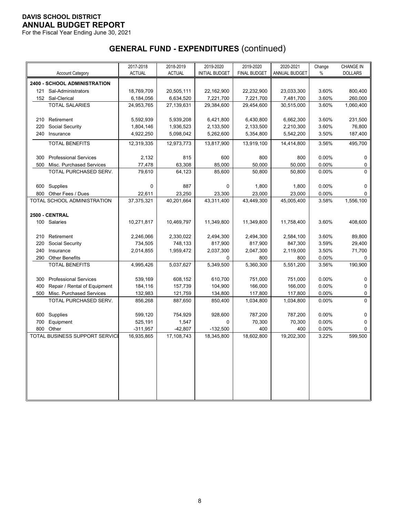For the Fiscal Year Ending June 30, 2021

|     |                                | 2017-2018     | 2018-2019     | 2019-2020             | 2019-2020           | 2020-2021            | Change | <b>CHANGE IN</b> |
|-----|--------------------------------|---------------|---------------|-----------------------|---------------------|----------------------|--------|------------------|
|     | <b>Account Category</b>        | <b>ACTUAL</b> | <b>ACTUAL</b> | <b>INITIAL BUDGET</b> | <b>FINAL BUDGET</b> | <b>ANNUAL BUDGET</b> | $\%$   | <b>DOLLARS</b>   |
|     | 2400 - SCHOOL ADMINISTRATION   |               |               |                       |                     |                      |        |                  |
| 121 | Sal-Administrators             | 18,769,709    | 20,505,111    | 22,162,900            | 22,232,900          | 23,033,300           | 3.60%  | 800,400          |
|     | 152 Sal-Clerical               | 6,184,056     | 6,634,520     | 7,221,700             | 7,221,700           | 7,481,700            | 3.60%  | 260,000          |
|     | <b>TOTAL SALARIES</b>          | 24,953,765    | 27,139,631    | 29,384,600            | 29,454,600          | 30,515,000           | 3.60%  | 1,060,400        |
|     |                                |               |               |                       |                     |                      |        |                  |
| 210 | Retirement                     | 5,592,939     | 5,939,208     | 6,421,800             | 6,430,800           | 6,662,300            | 3.60%  | 231,500          |
| 220 | Social Security                | 1,804,146     | 1,936,523     | 2,133,500             | 2,133,500           | 2,210,300            | 3.60%  | 76,800           |
|     | 240 Insurance                  | 4,922,250     | 5,098,042     | 5,262,600             | 5,354,800           | 5,542,200            | 3.50%  | 187,400          |
|     | <b>TOTAL BENEFITS</b>          | 12,319,335    | 12,973,773    | 13,817,900            | 13,919,100          | 14,414,800           | 3.56%  | 495,700          |
| 300 | <b>Professional Services</b>   | 2,132         | 815           | 600                   | 800                 | 800                  | 0.00%  | $\mathbf 0$      |
| 500 | Misc. Purchased Services       | 77,478        | 63,308        | 85,000                | 50,000              | 50,000               | 0.00%  | 0                |
|     | TOTAL PURCHASED SERV.          | 79.610        | 64.123        | 85.600                | 50.800              | 50.800               | 0.00%  | $\Omega$         |
| 600 | Supplies                       | $\mathbf 0$   | 887           | $\Omega$              | 1,800               | 1,800                | 0.00%  | 0                |
| 800 | Other Fees / Dues              | 22,611        | 23,250        | 23,300                | 23,000              | 23,000               | 0.00%  | $\Omega$         |
|     | TOTAL SCHOOL ADMINISTRATION    | 37,375,321    | 40,201,664    | 43,311,400            | 43,449,300          | 45,005,400           | 3.58%  | 1,556,100        |
|     |                                |               |               |                       |                     |                      |        |                  |
|     | 2500 - CENTRAL                 |               |               |                       |                     |                      |        |                  |
|     | 100 Salaries                   | 10,271,817    | 10,469,797    | 11,349,800            | 11,349,800          | 11,758,400           | 3.60%  | 408,600          |
| 210 | Retirement                     | 2,246,066     | 2,330,022     | 2,494,300             | 2,494,300           | 2,584,100            | 3.60%  | 89,800           |
| 220 | Social Security                | 734,505       | 748,133       | 817,900               | 817,900             | 847,300              | 3.59%  | 29,400           |
| 240 | Insurance                      | 2,014,855     | 1,959,472     | 2,037,300             | 2,047,300           | 2,119,000            | 3.50%  | 71,700           |
| 290 | <b>Other Benefits</b>          |               |               | 0                     | 800                 | 800                  | 0.00%  | 0                |
|     | <b>TOTAL BENEFITS</b>          | 4,995,426     | 5,037,627     | 5,349,500             | 5,360,300           | 5,551,200            | 3.56%  | 190,900          |
| 300 | <b>Professional Services</b>   | 539,169       | 608,152       | 610,700               | 751,000             | 751,000              | 0.00%  | $\mathbf 0$      |
| 400 | Repair / Rental of Equipment   | 184,116       | 157,739       | 104,900               | 166,000             | 166,000              | 0.00%  | 0                |
| 500 | Misc. Purchased Services       | 132,983       | 121,759       | 134,800               | 117,800             | 117,800              | 0.00%  | 0                |
|     | TOTAL PURCHASED SERV.          | 856,268       | 887,650       | 850,400               | 1,034,800           | 1,034,800            | 0.00%  | 0                |
|     |                                |               |               |                       |                     |                      |        |                  |
| 600 | Supplies                       | 599,120       | 754,929       | 928,600               | 787,200             | 787,200              | 0.00%  | 0                |
| 700 | Equipment                      | 525,191       | 1,547         | $\Omega$              | 70,300              | 70,300               | 0.00%  | 0                |
| 800 | Other                          | $-311,957$    | $-42,807$     | $-132,500$            | 400                 | 400                  | 0.00%  | 0                |
|     | TOTAL BUSINESS SUPPORT SERVICI | 16,935,865    | 17,108,743    | 18,345,800            | 18,602,800          | 19,202,300           | 3.22%  | 599,500          |
|     |                                |               |               |                       |                     |                      |        |                  |
|     |                                |               |               |                       |                     |                      |        |                  |
|     |                                |               |               |                       |                     |                      |        |                  |
|     |                                |               |               |                       |                     |                      |        |                  |
|     |                                |               |               |                       |                     |                      |        |                  |
|     |                                |               |               |                       |                     |                      |        |                  |
|     |                                |               |               |                       |                     |                      |        |                  |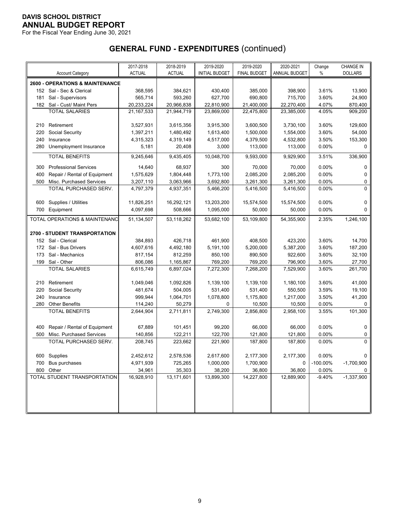For the Fiscal Year Ending June 30, 2021

|     |                                            | 2017-2018     | 2018-2019     | 2019-2020             | 2019-2020           | 2020-2021     | Change      | <b>CHANGE IN</b> |
|-----|--------------------------------------------|---------------|---------------|-----------------------|---------------------|---------------|-------------|------------------|
|     | <b>Account Category</b>                    | <b>ACTUAL</b> | <b>ACTUAL</b> | <b>INITIAL BUDGET</b> | <b>FINAL BUDGET</b> | ANNUAL BUDGET | $\%$        | <b>DOLLARS</b>   |
|     | <b>2600 - OPERATIONS &amp; MAINTENANCE</b> |               |               |                       |                     |               |             |                  |
|     | 152 Sal - Sec & Clerical                   | 368,595       | 384,621       | 430,400               | 385,000             | 398,900       | 3.61%       | 13,900           |
| 181 | Sal - Supervisors                          | 565,714       | 593,260       | 627,700               | 690,800             | 715,700       | 3.60%       | 24,900           |
|     | 182 Sal - Cust/ Maint Pers                 | 20,233,224    | 20,966,838    | 22,810,900            | 21,400,000          | 22,270,400    | 4.07%       | 870,400          |
|     | <b>TOTAL SALARIES</b>                      | 21, 167, 533  | 21,944,719    | 23,869,000            | 22,475,800          | 23,385,000    | 4.05%       | 909,200          |
|     |                                            |               |               |                       |                     |               |             |                  |
| 210 | Retirement                                 | 3,527,931     | 3,615,356     | 3,915,300             | 3,600,500           | 3,730,100     | 3.60%       | 129,600          |
| 220 | Social Security                            | 1,397,211     | 1,480,492     | 1,613,400             | 1,500,000           | 1,554,000     | 3.60%       | 54,000           |
| 240 | Insurance                                  | 4,315,323     | 4,319,149     | 4,517,000             | 4,379,500           | 4,532,800     | 3.50%       | 153,300          |
| 280 | Unemployment Insurance                     | 5,181         | 20,408        | 3,000                 | 113,000             | 113,000       | 0.00%       | 0                |
|     | <b>TOTAL BENEFITS</b>                      | 9,245,646     | 9,435,405     | 10,048,700            | 9,593,000           | 9,929,900     | 3.51%       | 336,900          |
|     |                                            |               |               |                       |                     |               |             |                  |
| 300 | <b>Professional Services</b>               | 14,640        | 68,937        | 300                   | 70,000              | 70,000        | 0.00%       | 0                |
| 400 | Repair / Rental of Equipment               | 1,575,629     | 1,804,448     | 1,773,100             | 2,085,200           | 2,085,200     | 0.00%       | 0                |
| 500 | Misc. Purchased Services                   | 3,207,110     | 3,063,966     | 3,692,800             | 3,261,300           | 3,261,300     | 0.00%       | 0                |
|     | TOTAL PURCHASED SERV.                      | 4,797,379     | 4,937,351     | 5,466,200             | 5,416,500           | 5,416,500     | 0.00%       | $\Omega$         |
| 600 | Supplies / Utilities                       | 11,826,251    | 16,292,121    | 13,203,200            | 15,574,500          | 15,574,500    | 0.00%       | 0                |
| 700 | Equipment                                  | 4,097,698     | 508,666       | 1,095,000             | 50,000              | 50,000        | 0.00%       | 0                |
|     |                                            |               |               |                       |                     |               |             |                  |
|     | TOTAL OPERATIONS & MAINTENANC              | 51,134,507    | 53,118,262    | 53,682,100            | 53,109,800          | 54,355,900    | 2.35%       | 1,246,100        |
|     | <b>2700 - STUDENT TRANSPORTATION</b>       |               |               |                       |                     |               |             |                  |
|     | 152 Sal - Clerical                         | 384,893       | 426,718       | 461,900               | 408,500             | 423,200       | 3.60%       | 14,700           |
|     | 172 Sal - Bus Drivers                      | 4,607,616     | 4,492,180     | 5,191,100             | 5,200,000           | 5,387,200     | 3.60%       | 187,200          |
| 173 | Sal - Mechanics                            | 817,154       | 812,259       | 850,100               | 890,500             | 922,600       | 3.60%       | 32,100           |
|     | 199 Sal - Other                            | 806,086       | 1,165,867     | 769,200               | 769,200             | 796,900       | 3.60%       | 27,700           |
|     | <b>TOTAL SALARIES</b>                      | 6,615,749     | 6,897,024     | 7,272,300             | 7,268,200           | 7,529,900     | 3.60%       | 261,700          |
|     |                                            |               |               |                       |                     |               |             |                  |
| 210 | Retirement                                 | 1,049,046     | 1,092,826     | 1,139,100             | 1,139,100           | 1,180,100     | 3.60%       | 41,000           |
| 220 | Social Security                            | 481,674       | 504,005       | 531,400               | 531,400             | 550,500       | 3.59%       | 19,100           |
| 240 | Insurance                                  | 999,944       | 1,064,701     | 1,078,800             | 1,175,800           | 1,217,000     | 3.50%       | 41,200           |
| 280 | <b>Other Benefits</b>                      | 114,240       | 50,279        | 0                     | 10,500              | 10,500        | 0.00%       | 0                |
|     | <b>TOTAL BENEFITS</b>                      | 2,644,904     | 2,711,811     | 2,749,300             | 2,856,800           | 2,958,100     | 3.55%       | 101,300          |
|     |                                            |               |               |                       |                     |               |             |                  |
| 400 | Repair / Rental of Equipment               | 67,889        | 101,451       | 99,200                | 66,000              | 66,000        | 0.00%       | 0                |
| 500 | Misc. Purchased Services                   | 140,856       | 122,211       | 122,700               | 121,800             | 121,800       | 0.00%       | 0                |
|     | TOTAL PURCHASED SERV.                      | 208,745       | 223,662       | 221,900               | 187,800             | 187,800       | 0.00%       | 0                |
|     |                                            |               |               |                       |                     |               |             |                  |
|     | 600 Supplies                               | 2,452,612     | 2,578,536     | 2,617,600             | 2,177,300           | 2,177,300     | 0.00%       | 0                |
| 700 | Bus purchases                              | 4,971,939     | 725,265       | 1,000,000             | 1,700,900           | 0             | $-100.00\%$ | $-1,700,900$     |
|     | 800 Other                                  | 34,961        | 35,303        | 38,200                | 36,800              | 36,800        | 0.00%       | 0                |
|     | TOTAL STUDENT TRANSPORTATION               | 16,928,910    | 13,171,601    | 13,899,300            | 14,227,800          | 12,889,900    | $-9.40%$    | $-1,337,900$     |
|     |                                            |               |               |                       |                     |               |             |                  |
|     |                                            |               |               |                       |                     |               |             |                  |
|     |                                            |               |               |                       |                     |               |             |                  |
|     |                                            |               |               |                       |                     |               |             |                  |
|     |                                            |               |               |                       |                     |               |             |                  |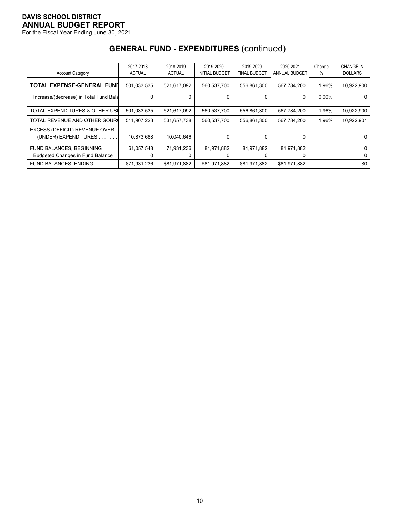For the Fiscal Year Ending June 30, 2021

|                                         | 2017-2018     | 2018-2019     | 2019-2020             | 2019-2020           | 2020-2021     | Change   | <b>CHANGE IN</b> |
|-----------------------------------------|---------------|---------------|-----------------------|---------------------|---------------|----------|------------------|
| <b>Account Category</b>                 | <b>ACTUAL</b> | <b>ACTUAL</b> | <b>INITIAL BUDGET</b> | <b>FINAL BUDGET</b> | ANNUAL BUDGET | %        | <b>DOLLARS</b>   |
| TOTAL EXPENSE-GENERAL FUND              | 501,033,535   | 521,617,092   | 560,537,700           | 556,861,300         | 567,784,200   | 1.96%    | 10,922,900       |
| Increase/(decrease) in Total Fund Bala  |               |               |                       | 0                   | 0             | $0.00\%$ |                  |
| TOTAL EXPENDITURES & OTHER USE          | 501,033,535   | 521,617,092   | 560,537,700           | 556,861,300         | 567,784,200   | 1.96%    | 10,922,900       |
| TOTAL REVENUE AND OTHER SOURC           | 511,907,223   | 531,657,738   | 560,537,700           | 556,861,300         | 567,784,200   | 1.96%    | 10,922,901       |
| EXCESS (DEFICIT) REVENUE OVER           |               |               |                       |                     |               |          |                  |
| (UNDER) EXPENDITURES.                   | 10,873,688    | 10,040,646    | 0                     | 0                   | 0             |          |                  |
| FUND BALANCES, BEGINNING                | 61,057,548    | 71,931,236    | 81,971,882            | 81,971,882          | 81,971,882    |          | 0                |
| <b>Budgeted Changes in Fund Balance</b> |               |               |                       |                     |               |          |                  |
| <b>FUND BALANCES, ENDING</b>            | \$71,931,236  | \$81,971,882  | \$81,971,882          | \$81,971,882        | \$81,971,882  |          | \$0              |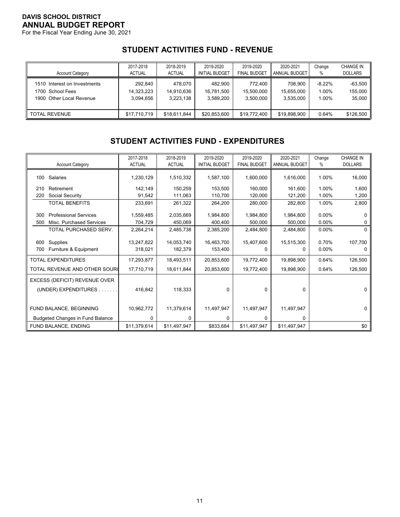For the Fiscal Year Ending June 30, 2021

# **STUDENT ACTIVITIES FUND - REVENUE**

| <b>Account Category</b>      | 2017-2018     | 2018-2019     | 2019-2020             | 2019-2020           | 2020-2021     | Change    | <b>CHANGE IN</b> |
|------------------------------|---------------|---------------|-----------------------|---------------------|---------------|-----------|------------------|
|                              | <b>ACTUAL</b> | <b>ACTUAL</b> | <b>INITIAL BUDGET</b> | <b>FINAL BUDGET</b> | ANNUAL BUDGET | %         | <b>DOLLARS</b>   |
| 1510 Interest on Investments | 292,840       | 478.070       | 482.900               | 772.400             | 708.900       | $-8.22\%$ | $-63,500$        |
| 1700 School Fees             | 14,323,223    | 14.910.636    | 16.781.500            | 15.500.000          | 15.655.000    | 1.00%     | 155,000          |
| 1900 Other Local Revenue     | 3.094.656     | 3.223.138     | 3,589,200             | 3.500.000           | 3.535.000     | 1.00%     | 35,000           |
| <b>TOTAL REVENUE</b>         | \$17,710,719  | \$18,611,844  | \$20.853.600          | \$19,772,400        | \$19.898.900  | 0.64%     | \$126,500        |

# **STUDENT ACTIVITIES FUND - EXPENDITURES**

|     |                                         | 2017-2018     | 2018-2019     | 2019-2020             | 2019-2020           | 2020-2021     | Change   | <b>CHANGE IN</b> |
|-----|-----------------------------------------|---------------|---------------|-----------------------|---------------------|---------------|----------|------------------|
|     | <b>Account Category</b>                 | <b>ACTUAL</b> | <b>ACTUAL</b> | <b>INITIAL BUDGET</b> | <b>FINAL BUDGET</b> | ANNUAL BUDGET | %        | <b>DOLLARS</b>   |
| 100 | Salaries                                | 1,230,129     | 1,510,332     | 1,587,100             | 1,600,000           | 1,616,000     | 1.00%    | 16,000           |
|     |                                         |               |               |                       |                     |               |          |                  |
| 210 | Retirement                              | 142,149       | 150,259       | 153,500               | 160.000             | 161.600       | 1.00%    | 1,600            |
| 220 | Social Security                         | 91,542        | 111,063       | 110,700               | 120,000             | 121,200       | 1.00%    | 1,200            |
|     | <b>TOTAL BENEFITS</b>                   | 233,691       | 261,322       | 264,200               | 280,000             | 282,800       | 1.00%    | 2,800            |
|     |                                         |               |               |                       |                     |               |          |                  |
| 300 | <b>Professional Services</b>            | 1,559,485     | 2,035,669     | 1,984,800             | 1,984,800           | 1,984,800     | $0.00\%$ |                  |
| 500 | Misc. Purchased Services                | 704,729       | 450,069       | 400,400               | 500,000             | 500,000       | 0.00%    |                  |
|     | TOTAL PURCHASED SERV.                   | 2,264,214     | 2,485,738     | 2,385,200             | 2,484,800           | 2,484,800     | 0.00%    | 0                |
|     |                                         |               |               |                       |                     |               |          |                  |
| 600 | Supplies                                | 13,247,822    | 14,053,740    | 16,463,700            | 15,407,600          | 15,515,300    | 0.70%    | 107,700          |
| 700 | Furniture & Equipment                   | 318,021       | 182,379       | 153,400               |                     | 0             | 0.00%    | 0                |
|     | <b>TOTAL EXPENDITURES</b>               | 17,293,877    | 18,493,511    | 20,853,600            | 19,772,400          | 19,898,900    | 0.64%    | 126,500          |
|     | TOTAL REVENUE AND OTHER SOUR(           | 17,710,719    | 18,611,844    | 20,853,600            | 19,772,400          | 19,898,900    | 0.64%    | 126,500          |
|     | EXCESS (DEFICIT) REVENUE OVER           |               |               |                       |                     |               |          |                  |
|     | (UNDER) EXPENDITURES                    | 416,842       | 118,333       | 0                     | 0                   | $\mathbf 0$   |          | 0                |
|     |                                         |               |               |                       |                     |               |          |                  |
|     | FUND BALANCE, BEGINNING                 | 10,962,772    | 11,379,614    | 11,497,947            | 11,497,947          | 11,497,947    |          | 0                |
|     | <b>Budgeted Changes in Fund Balance</b> | 0             | 0             | 0                     | 0                   | 0             |          |                  |
|     | FUND BALANCE, ENDING                    | \$11,379,614  | \$11,497,947  | \$833,684             | \$11,497,947        | \$11,497,947  |          | \$0              |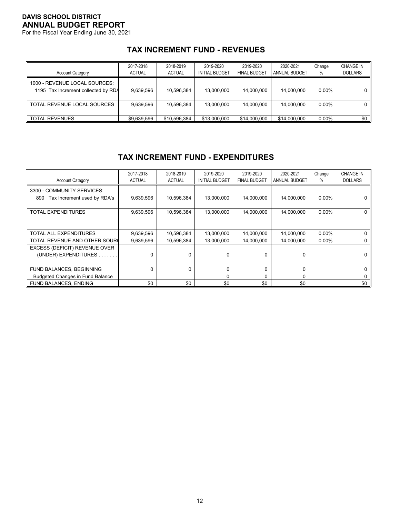For the Fiscal Year Ending June 30, 2021

# **TAX INCREMENT FUND - REVENUES**

| <b>Account Category</b>                                              | 2017-2018<br><b>ACTUAL</b> | 2018-2019<br><b>ACTUAL</b> | 2019-2020<br><b>INITIAL BUDGET</b> | 2019-2020<br><b>FINAL BUDGET</b> | 2020-2021<br>ANNUAL BUDGET | Change<br>% | <b>CHANGE IN</b><br><b>DOLLARS</b> |
|----------------------------------------------------------------------|----------------------------|----------------------------|------------------------------------|----------------------------------|----------------------------|-------------|------------------------------------|
| 1000 - REVENUE LOCAL SOURCES:<br>1195 Tax Increment collected by RDA | 9.639.596                  | 10.596.384                 | 13.000.000                         | 14.000.000                       | 14.000.000                 | $0.00\%$    |                                    |
| TOTAL REVENUE LOCAL SOURCES                                          | 9.639.596                  | 10.596.384                 | 13.000.000                         | 14.000.000                       | 14,000,000                 | $0.00\%$    |                                    |
| <b>TOTAL REVENUES</b>                                                | \$9.639.596                | \$10.596.384               | \$13,000,000                       | \$14,000,000                     | \$14,000,000               | 0.00%       | \$0                                |

# **TAX INCREMENT FUND - EXPENDITURES**

| <b>Account Category</b>                                          | 2017-2018<br><b>ACTUAL</b> | 2018-2019<br><b>ACTUAL</b> | 2019-2020<br><b>INITIAL BUDGET</b> | 2019-2020<br><b>FINAL BUDGET</b> | 2020-2021<br><b>ANNUAL BUDGET</b> | Change<br>% | <b>CHANGE IN</b><br><b>DOLLARS</b> |
|------------------------------------------------------------------|----------------------------|----------------------------|------------------------------------|----------------------------------|-----------------------------------|-------------|------------------------------------|
| 3300 - COMMUNITY SERVICES:<br>Tax Increment used by RDA's<br>890 | 9,639,596                  | 10,596,384                 | 13,000,000                         | 14,000,000                       | 14,000,000                        | $0.00\%$    |                                    |
| TOTAL EXPENDITURES                                               | 9,639,596                  | 10,596,384                 | 13,000,000                         | 14,000,000                       | 14,000,000                        | $0.00\%$    |                                    |
| TOTAL ALL EXPENDITURES                                           | 9,639,596                  | 10,596,384                 | 13,000,000                         | 14,000,000                       | 14,000,000                        | $0.00\%$    |                                    |
| TOTAL REVENUE AND OTHER SOURC                                    | 9.639.596                  | 10.596.384                 | 13.000.000                         | 14.000.000                       | 14,000,000                        | $0.00\%$    |                                    |
| EXCESS (DEFICIT) REVENUE OVER<br>(UNDER) EXPENDITURES.           | 0                          | U                          | $\Omega$                           | 0                                | $\Omega$                          |             |                                    |
| FUND BALANCES, BEGINNING                                         | 0                          | $\Omega$                   | $\Omega$                           | 0                                | 0                                 |             |                                    |
| <b>Budgeted Changes in Fund Balance</b>                          |                            |                            | 0                                  | 0                                | $\Omega$                          |             |                                    |
| <b>FUND BALANCES, ENDING</b>                                     | \$0                        | \$0                        | \$0                                | \$0                              | \$0                               |             | \$0                                |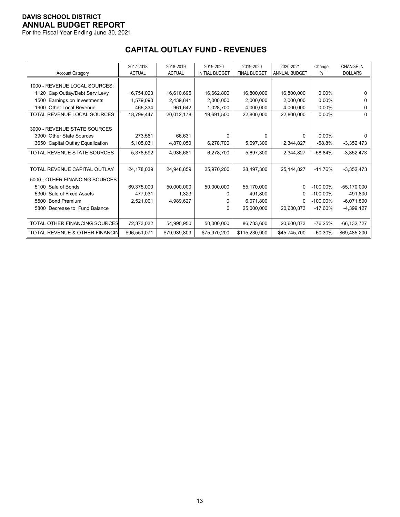For the Fiscal Year Ending June 30, 2021

|                                           | 2017-2018     | 2018-2019     | 2019-2020             | 2019-2020           | 2020-2021     | Change      | <b>CHANGE IN</b> |
|-------------------------------------------|---------------|---------------|-----------------------|---------------------|---------------|-------------|------------------|
| <b>Account Category</b>                   | <b>ACTUAL</b> | <b>ACTUAL</b> | <b>INITIAL BUDGET</b> | <b>FINAL BUDGET</b> | ANNUAL BUDGET | %           | <b>DOLLARS</b>   |
|                                           |               |               |                       |                     |               |             |                  |
| 1000 - REVENUE LOCAL SOURCES:             |               |               |                       |                     |               |             |                  |
| 1120 Cap Outlay/Debt Serv Levy            | 16,754,023    | 16,610,695    | 16,662,800            | 16,800,000          | 16,800,000    | $0.00\%$    | 0                |
| Earnings on Investments<br>1500           | 1,579,090     | 2.439.841     | 2,000,000             | 2,000,000           | 2,000,000     | $0.00\%$    | 0                |
| 1900 Other Local Revenue                  | 466,334       | 961,642       | 1,028,700             | 4,000,000           | 4,000,000     | $0.00\%$    | 0                |
| TOTAL REVENUE LOCAL SOURCES               | 18,799,447    | 20,012,178    | 19,691,500            | 22,800,000          | 22,800,000    | $0.00\%$    | $\Omega$         |
|                                           |               |               |                       |                     |               |             |                  |
| 3000 - REVENUE STATE SOURCES              |               |               |                       |                     |               |             |                  |
| 3900 Other State Sources                  | 273,561       | 66,631        | 0                     | 0                   | 0             | $0.00\%$    | 0                |
| 3650 Capital Outlay Equalization          | 5,105,031     | 4,870,050     | 6,278,700             | 5,697,300           | 2,344,827     | $-58.8%$    | $-3,352,473$     |
| TOTAL REVENUE STATE SOURCES               | 5,378,592     | 4,936,681     | 6,278,700             | 5,697,300           | 2,344,827     | $-58.84%$   | $-3,352,473$     |
|                                           |               |               |                       |                     |               |             |                  |
| TOTAL REVENUE CAPITAL OUTLAY              | 24,178,039    | 24,948,859    | 25,970,200            | 28,497,300          | 25, 144, 827  | $-11.76%$   | $-3,352,473$     |
| 5000 - OTHER FINANCING SOURCES:           |               |               |                       |                     |               |             |                  |
| 5100 Sale of Bonds                        | 69,375,000    | 50,000,000    | 50,000,000            | 55,170,000          | 0             | $-100.00\%$ | $-55,170,000$    |
| Sale of Fixed Assets<br>5300              | 477.031       | 1,323         | 0                     | 491,800             |               | $-100.00\%$ | $-491,800$       |
| 5500 Bond Premium                         | 2,521,001     | 4,989,627     | 0                     | 6,071,800           |               | $-100.00\%$ | $-6,071,800$     |
| 5800 Decrease to Fund Balance             |               |               | $\Omega$              | 25.000.000          | 20.600.873    | $-17.60%$   | $-4,399,127$     |
|                                           |               |               |                       |                     |               |             |                  |
| TOTAL OTHER FINANCING SOURCES             | 72,373,032    | 54,990,950    | 50.000.000            | 86,733,600          | 20,600,873    | $-76.25%$   | $-66, 132, 727$  |
| <b>TOTAL REVENUE &amp; OTHER FINANCIN</b> | \$96,551,071  | \$79,939,809  | \$75,970,200          | \$115,230,900       | \$45,745,700  | $-60.30%$   | -\$69,485,200    |

# **CAPITAL OUTLAY FUND - REVENUES**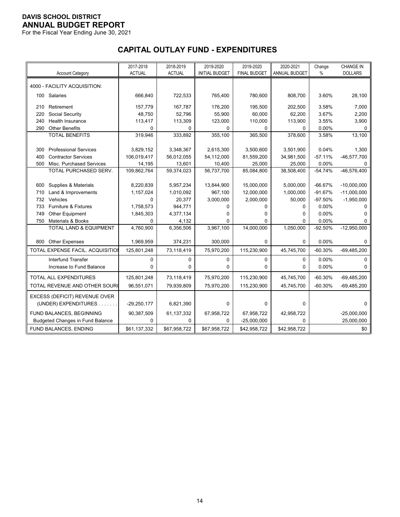For the Fiscal Year Ending June 30, 2021

# **CAPITAL OUTLAY FUND - EXPENDITURES**

|            |                                                        | 2017-2018<br><b>ACTUAL</b> | 2018-2019<br><b>ACTUAL</b> | 2019-2020               | 2019-2020               | 2020-2021               | Change    | <b>CHANGE IN</b> |
|------------|--------------------------------------------------------|----------------------------|----------------------------|-------------------------|-------------------------|-------------------------|-----------|------------------|
|            | <b>Account Category</b>                                |                            |                            | <b>INITIAL BUDGET</b>   | <b>FINAL BUDGET</b>     | ANNUAL BUDGET           | $\%$      | <b>DOLLARS</b>   |
|            | 4000 - FACILITY ACQUISITION:                           |                            |                            |                         |                         |                         |           |                  |
|            | 100 Salaries                                           | 666,840                    | 722,533                    | 765,400                 | 780,600                 | 808,700                 | 3.60%     | 28,100           |
| 210        | Retirement                                             | 157,779                    | 167,787                    | 176,200                 | 195,500                 | 202,500                 | 3.58%     | 7,000            |
| 220        | Social Security                                        | 48,750                     | 52,796                     | 55,900                  | 60,000                  | 62,200                  | 3.67%     | 2,200            |
| 240        | <b>Health Insurance</b>                                | 113,417                    | 113,309                    | 123,000                 | 110,000                 | 113,900                 | 3.55%     | 3,900            |
| 290        | <b>Other Benefits</b>                                  | $\mathbf 0$                | 0                          | $\Omega$                | 0                       | 0                       | 0.00%     | 0                |
|            | <b>TOTAL BENEFITS</b>                                  | 319,946                    | 333,892                    | 355,100                 | 365,500                 | 378,600                 | 3.58%     | 13,100           |
|            | <b>Professional Services</b>                           |                            |                            |                         |                         |                         | 0.04%     |                  |
| 300        |                                                        | 3,829,152<br>106,019,417   | 3,348,367                  | 2,615,300<br>54,112,000 | 3,500,600<br>81,559,200 | 3,501,900<br>34,981,500 | $-57.11%$ | 1,300            |
| 400<br>500 | <b>Contractor Services</b><br>Misc. Purchased Services | 14,195                     | 56,012,055<br>13,601       | 10,400                  | 25,000                  |                         | $0.00\%$  | $-46,577,700$    |
|            | TOTAL PURCHASED SERV.                                  | 109,862,764                | 59,374,023                 | 56,737,700              | 85,084,800              | 25,000<br>38,508,400    | $-54.74%$ | 0<br>-46,576,400 |
|            |                                                        |                            |                            |                         |                         |                         |           |                  |
| 600        | Supplies & Materials                                   | 8,220,839                  | 5,957,234                  | 13,844,900              | 15,000,000              | 5,000,000               | $-66.67%$ | $-10,000,000$    |
| 710        | Land & Improvements                                    | 1,157,024                  | 1,010,092                  | 967,100                 | 12,000,000              | 1,000,000               | $-91.67%$ | $-11,000,000$    |
| 732        | Vehicles                                               | $\mathbf 0$                | 20,377                     | 3,000,000               | 2,000,000               | 50,000                  | $-97.50%$ | $-1,950,000$     |
| 733        | Furniture & Fixtures                                   | 1,758,573                  | 944,771                    | 0                       | 0                       | 0                       | 0.00%     | 0                |
| 749        | Other Equipment                                        | 1,845,303                  | 4,377,134                  | 0                       | 0                       | 0                       | 0.00%     | 0                |
| 750        | Materials & Books                                      | 0                          | 4,132                      | 0                       | 0                       | 0                       | 0.00%     | 0                |
|            | TOTAL LAND & EQUIPMENT                                 | 4,760,900                  | 6,356,506                  | 3,967,100               | 14,000,000              | 1,050,000               | $-92.50%$ | $-12,950,000$    |
|            |                                                        |                            |                            |                         |                         |                         |           |                  |
| 800        | <b>Other Expenses</b>                                  | 1,969,959                  | 374,231                    | 300,000                 | 0                       | 0                       | 0.00%     | $\Omega$         |
|            | TOTAL EXPENSE FACIL. ACQUISITION                       | 125,801,248                | 73,118,419                 | 75,970,200              | 115,230,900             | 45,745,700              | $-60.30%$ | $-69,485,200$    |
|            | Interfund Transfer                                     | $\mathbf 0$                | $\mathbf 0$                | $\mathbf 0$             | 0                       | 0                       | 0.00%     | $\mathbf 0$      |
|            | Increase to Fund Balance                               | 0                          | 0                          | 0                       | 0                       | 0                       | 0.00%     | 0                |
|            | <b>TOTAL ALL EXPENDITURES</b>                          | 125,801,248                | 73,118,419                 | 75,970,200              | 115,230,900             | 45,745,700              | $-60.30%$ | $-69,485,200$    |
|            | TOTAL REVENUE AND OTHER SOURO                          | 96,551,071                 | 79,939,809                 | 75,970,200              | 115,230,900             | 45,745,700              | $-60.30%$ | $-69,485,200$    |
|            | EXCESS (DEFICIT) REVENUE OVER                          |                            |                            |                         |                         |                         |           |                  |
|            | (UNDER) EXPENDITURES                                   | $-29,250,177$              | 6,821,390                  | $\Omega$                | 0                       | $\mathbf 0$             |           | $\Omega$         |
|            | FUND BALANCES, BEGINNING                               | 90,387,509                 | 61, 137, 332               | 67,958,722              | 67,958,722              | 42,958,722              |           | $-25,000,000$    |
|            | <b>Budgeted Changes in Fund Balance</b>                | 0                          | 0                          | 0                       | $-25,000,000$           | 0                       |           | 25,000,000       |
|            | FUND BALANCES, ENDING                                  | \$61,137,332               | \$67,958,722               | \$67,958,722            | \$42,958,722            | \$42,958,722            |           | \$0              |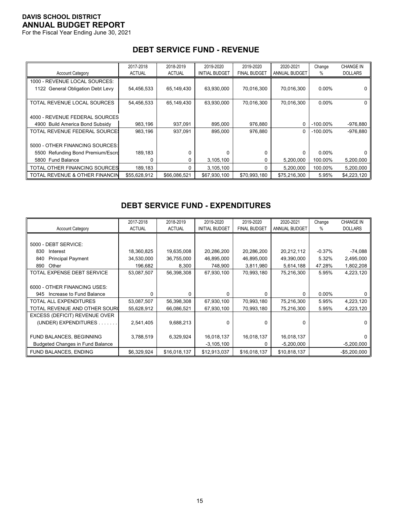For the Fiscal Year Ending June 30, 2021

|                                   | 2017-2018     | 2018-2019     | 2019-2020             | 2019-2020           | 2020-2021     | Change      | <b>CHANGE IN</b> |
|-----------------------------------|---------------|---------------|-----------------------|---------------------|---------------|-------------|------------------|
| <b>Account Category</b>           | <b>ACTUAL</b> | <b>ACTUAL</b> | <b>INITIAL BUDGET</b> | <b>FINAL BUDGET</b> | ANNUAL BUDGET | %           | <b>DOLLARS</b>   |
| 1000 - REVENUE LOCAL SOURCES:     |               |               |                       |                     |               |             |                  |
| 1122 General Obligation Debt Levy | 54,456,533    | 65,149,430    | 63,930,000            | 70,016,300          | 70,016,300    | $0.00\%$    |                  |
|                                   |               |               |                       |                     |               |             |                  |
| TOTAL REVENUE LOCAL SOURCES       | 54,456,533    | 65,149,430    | 63,930,000            | 70,016,300          | 70,016,300    | $0.00\%$    | 0                |
|                                   |               |               |                       |                     |               |             |                  |
| 4000 - REVENUE FEDERAL SOURCES    |               |               |                       |                     |               |             |                  |
| 4900 Build America Bond Subsidy   | 983,196       | 937,091       | 895,000               | 976,880             | 0             | $-100.00\%$ | $-976,880$       |
| TOTAL REVENUE FEDERAL SOURCE:     | 983,196       | 937.091       | 895.000               | 976,880             | 0             | $-100.00\%$ | $-976.880$       |
|                                   |               |               |                       |                     |               |             |                  |
| 5000 - OTHER FINANCING SOURCES:   |               |               |                       |                     |               |             |                  |
| 5500 Refunding Bond Premium/Escro | 189,183       |               |                       | 0                   | 0             | $0.00\%$    |                  |
| <b>Fund Balance</b><br>5800       | 0             | 0             | 3,105,100             | 0                   | 5,200,000     | 100.00%     | 5,200,000        |
| TOTAL OTHER FINANCING SOURCES     | 189,183       |               | 3,105,100             | 0                   | 5,200,000     | 100.00%     | 5,200,000        |
| TOTAL REVENUE & OTHER FINANCIN    | \$55.628.912  | \$66.086.521  | \$67,930,100          | \$70,993,180        | \$75,216,300  | 5.95%       | \$4,223,120      |

# **DEBT SERVICE FUND - REVENUE**

# **DEBT SERVICE FUND - EXPENDITURES**

| <b>Account Category</b>                 | 2017-2018<br><b>ACTUAL</b> | 2018-2019<br><b>ACTUAL</b> | 2019-2020<br><b>INITIAL BUDGET</b> | 2019-2020<br><b>FINAL BUDGET</b> | 2020-2021<br>ANNUAL BUDGET | Change<br>℅ | <b>CHANGE IN</b><br><b>DOLLARS</b> |
|-----------------------------------------|----------------------------|----------------------------|------------------------------------|----------------------------------|----------------------------|-------------|------------------------------------|
|                                         |                            |                            |                                    |                                  |                            |             |                                    |
|                                         |                            |                            |                                    |                                  |                            |             |                                    |
| 5000 - DEBT SERVICE:                    |                            |                            |                                    |                                  |                            |             |                                    |
| 830<br>Interest                         | 18,360,825                 | 19,635,008                 | 20,286,200                         | 20,286,200                       | 20,212,112                 | $-0.37%$    | $-74,088$                          |
| <b>Principal Payment</b><br>840         | 34,530,000                 | 36,755,000                 | 46,895,000                         | 46,895,000                       | 49,390,000                 | 5.32%       | 2,495,000                          |
| Other<br>890                            | 196,682                    | 8,300                      | 748,900                            | 3,811,980                        | 5,614,188                  | 47.28%      | 1,802,208                          |
| TOTAL EXPENSE DEBT SERVICE              | 53,087,507                 | 56,398,308                 | 67,930,100                         | 70,993,180                       | 75,216,300                 | 5.95%       | 4,223,120                          |
|                                         |                            |                            |                                    |                                  |                            |             |                                    |
| 6000 - OTHER FINANCING USES:            |                            |                            |                                    |                                  |                            |             |                                    |
| 945 Increase to Fund Balance            | $\Omega$                   | U                          | U                                  | 0                                | $\Omega$                   | $0.00\%$    |                                    |
| <b>TOTAL ALL EXPENDITURES</b>           | 53,087,507                 | 56,398,308                 | 67,930,100                         | 70,993,180                       | 75,216,300                 | 5.95%       | 4,223,120                          |
| TOTAL REVENUE AND OTHER SOURC           | 55,628,912                 | 66,086,521                 | 67,930,100                         | 70,993,180                       | 75,216,300                 | 5.95%       | 4,223,120                          |
| EXCESS (DEFICIT) REVENUE OVER           |                            |                            |                                    |                                  |                            |             |                                    |
| (UNDER) EXPENDITURES.                   | 2,541,405                  | 9,688,213                  | $\Omega$                           | $\Omega$                         | $\Omega$                   |             |                                    |
|                                         |                            |                            |                                    |                                  |                            |             |                                    |
| FUND BALANCES, BEGINNING                | 3,788,519                  | 6,329,924                  | 16,018,137                         | 16,018,137                       | 16,018,137                 |             |                                    |
| <b>Budgeted Changes in Fund Balance</b> |                            |                            | $-3,105,100$                       | 0                                | $-5,200,000$               |             | $-5,200,000$                       |
| FUND BALANCES, ENDING                   | \$6,329,924                | \$16,018,137               | \$12,913,037                       | \$16,018,137                     | \$10,818,137               |             | $-$5,200,000$                      |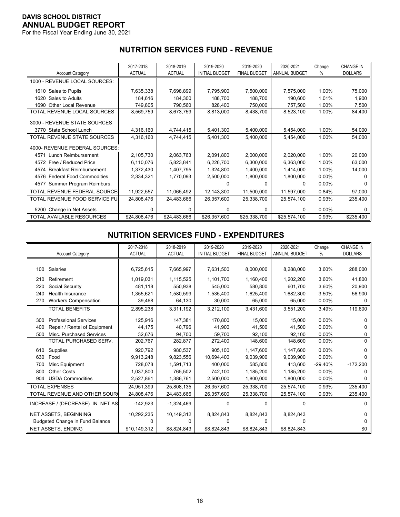For the Fiscal Year Ending June 30, 2021

# **NUTRITION SERVICES FUND - REVENUE**

|                                      | 2017-2018     | 2018-2019     | 2019-2020             | 2019-2020           | 2020-2021     | Change   | <b>CHANGE IN</b> |
|--------------------------------------|---------------|---------------|-----------------------|---------------------|---------------|----------|------------------|
| <b>Account Category</b>              | <b>ACTUAL</b> | <b>ACTUAL</b> | <b>INITIAL BUDGET</b> | <b>FINAL BUDGET</b> | ANNUAL BUDGET | %        | <b>DOLLARS</b>   |
| 1000 - REVENUE LOCAL SOURCES:        |               |               |                       |                     |               |          |                  |
| 1610 Sales to Pupils                 | 7,635,338     | 7,698,899     | 7,795,900             | 7,500,000           | 7,575,000     | 1.00%    | 75,000           |
| 1620 Sales to Adults                 | 184,616       | 184,300       | 188,700               | 188,700             | 190,600       | 1.01%    | 1,900            |
| 1690 Other Local Revenue             | 749,805       | 790,560       | 828,400               | 750,000             | 757,500       | 1.00%    | 7,500            |
| TOTAL REVENUE LOCAL SOURCES          | 8,569,759     | 8,673,759     | 8,813,000             | 8,438,700           | 8,523,100     | 1.00%    | 84,400           |
| 3000 - REVENUE STATE SOURCES         |               |               |                       |                     |               |          |                  |
| 3770 State School Lunch              | 4,316,160     | 4,744,415     | 5,401,300             | 5,400,000           | 5,454,000     | 1.00%    | 54,000           |
| TOTAL REVENUE STATE SOURCES          | 4,316,160     | 4,744,415     | 5,401,300             | 5,400,000           | 5,454,000     | 1.00%    | 54,000           |
| 4000- REVENUE FEDERAL SOURCES:       |               |               |                       |                     |               |          |                  |
| 4571 Lunch Reimbursement             | 2,105,730     | 2,063,763     | 2,091,800             | 2,000,000           | 2,020,000     | 1.00%    | 20,000           |
| 4572 Free / Reduced Price            | 6,110,076     | 5,823,841     | 6,226,700             | 6,300,000           | 6,363,000     | 1.00%    | 63,000           |
| 4574 Breakfast Reimbursement         | 1,372,430     | 1,407,795     | 1,324,800             | 1,400,000           | 1,414,000     | 1.00%    | 14,000           |
| 4576 Federal Food Commodities        | 2,334,321     | 1,770,093     | 2,500,000             | 1,800,000           | 1,800,000     | $0.00\%$ |                  |
| Summer Program Reimburs.<br>4577     |               |               | 0                     | 0                   | 0             | $0.00\%$ | 0                |
| <b>TOTAL REVENUE FEDERAL SOURCE:</b> | 11,922,557    | 11,065,492    | 12,143,300            | 11,500,000          | 11,597,000    | 0.84%    | 97,000           |
| TOTAL REVENUE FOOD SERVICE FUI       | 24,808,476    | 24,483,666    | 26,357,600            | 25,338,700          | 25,574,100    | 0.93%    | 235,400          |
| 5200 Change in Net Assets            | 0             | <sup>0</sup>  | $\Omega$              | 0                   | $\Omega$      | $0.00\%$ | 0                |
| TOTAL AVAILABLE RESOURCES            | \$24,808,476  | \$24,483,666  | \$26,357,600          | \$25,338,700        | \$25,574,100  | 0.93%    | \$235,400        |

#### **NUTRITION SERVICES FUND - EXPENDITURES**

|     |                                        | 2017-2018     | 2018-2019     | 2019-2020             | 2019-2020           | 2020-2021            | Change    | <b>CHANGE IN</b> |
|-----|----------------------------------------|---------------|---------------|-----------------------|---------------------|----------------------|-----------|------------------|
|     | <b>Account Category</b>                | <b>ACTUAL</b> | <b>ACTUAL</b> | <b>INITIAL BUDGET</b> | <b>FINAL BUDGET</b> | <b>ANNUAL BUDGET</b> | $\%$      | <b>DOLLARS</b>   |
|     |                                        |               |               |                       |                     |                      |           |                  |
| 100 | Salaries                               | 6,725,615     | 7,665,997     | 7,631,500             | 8,000,000           | 8,288,000            | 3.60%     | 288,000          |
| 210 | Retirement                             | 1,019,031     | 1,115,525     | 1,101,700             | 1,160,400           | 1,202,200            | 3.60%     | 41,800           |
| 220 | Social Security                        | 481.118       | 550.938       | 545.000               | 580.800             | 601.700              | 3.60%     | 20,900           |
| 240 | Health Insurance                       | 1,355,621     | 1,580,599     | 1,535,400             | 1,625,400           | 1,682,300            | 3.50%     | 56,900           |
| 270 | <b>Workers Compensation</b>            | 39,468        | 64,130        | 30,000                | 65,000              | 65,000               | $0.00\%$  | 0                |
|     | <b>TOTAL BENEFITS</b>                  | 2,895,238     | 3,311,192     | 3,212,100             | 3,431,600           | 3,551,200            | 3.49%     | 119,600          |
| 300 | <b>Professional Services</b>           | 125,916       | 147,381       | 170,800               | 15,000              | 15,000               | 0.00%     | n                |
| 400 | Repair / Rental of Equipment           | 44,175        | 40,796        | 41.900                | 41,500              | 41,500               | 0.00%     |                  |
| 500 | Misc. Purchased Services               | 32,676        | 94,700        | 59,700                | 92,100              | 92,100               | 0.00%     | 0                |
|     | TOTAL PURCHASED SERV.                  | 202,767       | 282,877       | 272,400               | 148,600             | 148,600              | 0.00%     | 0                |
| 610 | Supplies                               | 920.792       | 980.537       | 905.100               | 1,147,600           | 1,147,600            | 0.00%     |                  |
| 630 | Food                                   | 9,913,248     | 9,823,556     | 10,694,400            | 9,039,900           | 9,039,900            | 0.00%     |                  |
| 700 | Misc Equipment                         | 728,078       | 1,591,713     | 400.000               | 585.800             | 413.600              | $-29.40%$ | $-172,200$       |
| 800 | <b>Other Costs</b>                     | 1,037,800     | 765,502       | 742,100               | 1,185,200           | 1,185,200            | $0.00\%$  |                  |
| 904 | <b>USDA Commodities</b>                | 2,527,861     | 1,386,761     | 2,500,000             | 1,800,000           | 1,800,000            | 0.00%     | n                |
|     | <b>TOTAL EXPENSES</b>                  | 24,951,399    | 25.808.135    | 26,357,600            | 25,338,700          | 25,574,100           | 0.93%     | 235,400          |
|     | TOTAL REVENUE AND OTHER SOURC          | 24,808,476    | 24,483,666    | 26,357,600            | 25,338,700          | 25,574,100           | 0.93%     | 235,400          |
|     | INCREASE / (DECREASE) IN NET AS        | $-142,923$    | $-1,324,469$  | $\Omega$              | 0                   | $\Omega$             |           | 0                |
|     | <b>NET ASSETS, BEGINNING</b>           | 10,292,235    | 10,149,312    | 8,824,843             | 8,824,843           | 8,824,843            |           | U                |
|     | <b>Budgeted Change in Fund Balance</b> | 0             | 0             | $\Omega$              | 0                   | 0                    |           | 0                |
|     | <b>NET ASSETS, ENDING</b>              | \$10,149,312  | \$8,824,843   | \$8,824,843           | \$8,824,843         | \$8,824,843          |           | \$0              |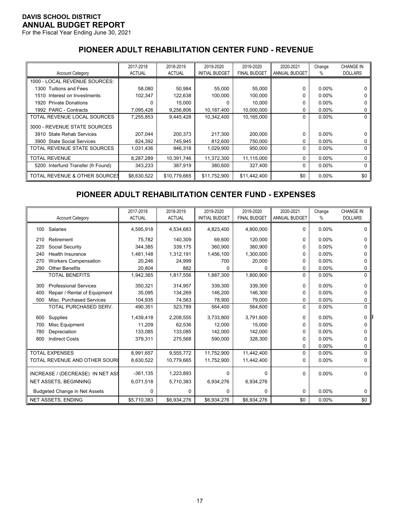For the Fiscal Year Ending June 30, 2021

# **PIONEER ADULT REHABILITATION CENTER FUND - REVENUE**

|                                    | 2017-2018     | 2018-2019     | 2019-2020             | 2019-2020           | 2020-2021            | Change   | <b>CHANGE IN</b> |
|------------------------------------|---------------|---------------|-----------------------|---------------------|----------------------|----------|------------------|
| <b>Account Category</b>            | <b>ACTUAL</b> | <b>ACTUAL</b> | <b>INITIAL BUDGET</b> | <b>FINAL BUDGET</b> | <b>ANNUAL BUDGET</b> | ℅        | <b>DOLLARS</b>   |
| 1000 - LOCAL REVENUE SOURCES:      |               |               |                       |                     |                      |          |                  |
| 1300 Tuitions and Fees             | 58,080        | 50,984        | 55,000                | 55,000              | $\Omega$             | $0.00\%$ |                  |
| 1510 Interest on Investments       | 102.347       | 122,638       | 100.000               | 100.000             | 0                    | $0.00\%$ | 0                |
| 1920 Private Donations             | 0             | 15,000        | $\Omega$              | 10.000              | 0                    | $0.00\%$ | 0                |
| 1992 PARC - Contracts              | 7,095,426     | 9,256,806     | 10,187,400            | 10,000,000          | 0                    | $0.00\%$ | 0                |
| TOTAL REVENUE LOCAL SOURCES        | 7,255,853     | 9,445,428     | 10.342.400            | 10,165,000          | $\Omega$             | $0.00\%$ | 0                |
| 3000 - REVENUE STATE SOURCES       |               |               |                       |                     |                      |          |                  |
| 3910 State Rehab Services          | 207,044       | 200,373       | 217,300               | 200,000             | $\Omega$             | $0.00\%$ |                  |
| 3900 State Social Services         | 824,392       | 745,945       | 812,600               | 750,000             | 0                    | $0.00\%$ |                  |
| TOTAL REVENUE STATE SOURCES        | 1,031,436     | 946,318       | 1,029,900             | 950,000             | $\Omega$             | $0.00\%$ | 0                |
| <b>TOTAL REVENUE</b>               | 8,287,289     | 10.391.746    | 11,372,300            | 11,115,000          | $\Omega$             | $0.00\%$ | 0                |
| 5200 Interfund Transfer (fr Found) | 343.233       | 387,919       | 380.600               | 327,400             | 0                    | $0.00\%$ | 0                |
| TOTAL REVENUE & OTHER SOURCES      | \$8,630,522   | \$10,779,665  | \$11,752,900          | \$11,442,400        | \$0                  | $0.00\%$ | \$0              |

# **PIONEER ADULT REHABILITATION CENTER FUND - EXPENSES**

|     | <b>Account Category</b>              | 2017-2018<br><b>ACTUAL</b> | 2018-2019<br><b>ACTUAL</b> | 2019-2020<br><b>INITIAL BUDGET</b> | 2019-2020<br><b>FINAL BUDGET</b> | 2020-2021<br><b>ANNUAL BUDGET</b> | Change<br>% | <b>CHANGE IN</b><br><b>DOLLARS</b> |
|-----|--------------------------------------|----------------------------|----------------------------|------------------------------------|----------------------------------|-----------------------------------|-------------|------------------------------------|
| 100 | Salaries                             | 4,595,918                  | 4,534,683                  | 4,823,400                          | 4,800,000                        | $\Omega$                          | $0.00\%$    | 0                                  |
| 210 | Retirement                           | 75.782                     | 140,309                    | 69.600                             | 120,000                          | 0                                 | 0.00%       | 0                                  |
| 220 | Social Security                      | 344,385                    | 339,175                    | 360,900                            | 360,900                          | 0                                 | $0.00\%$    |                                    |
| 240 | <b>Health Insurance</b>              | 1.481.148                  | 1,312,191                  | 1,456,100                          | 1,300,000                        | 0                                 | $0.00\%$    |                                    |
| 270 | <b>Workers Compensation</b>          | 20,246                     | 24,999                     | 700                                | 20,000                           | 0                                 | $0.00\%$    |                                    |
| 290 | <b>Other Benefits</b>                | 20,804                     | 882                        | 0                                  | $\Omega$                         | 0                                 | 0.00%       | 0                                  |
|     | <b>TOTAL BENEFITS</b>                | 1,942,365                  | 1,817,556                  | 1,887,300                          | 1,800,900                        | $\Omega$                          | 0.00%       | $\Omega$                           |
| 300 | <b>Professional Services</b>         | 350,321                    | 314,957                    | 339,300                            | 339,300                          | 0                                 | $0.00\%$    | 0                                  |
| 400 | Repair / Rental of Equipment         | 35,095                     | 134,269                    | 146,200                            | 146,300                          | 0                                 | 0.00%       | 0                                  |
| 500 | Misc. Purchased Services             | 104,935                    | 74,563                     | 78,900                             | 79,000                           | 0                                 | $0.00\%$    | 0                                  |
|     | TOTAL PURCHASED SERV.                | 490,351                    | 523,789                    | 564,400                            | 564,600                          | $\Omega$                          | 0.00%       | $\Omega$                           |
| 600 | Supplies                             | 1,439,418                  | 2,208,555                  | 3,733,800                          | 3,791,600                        | 0                                 | $0.00\%$    | 0                                  |
| 700 | Misc Equipment                       | 11.209                     | 62,536                     | 12.000                             | 15,000                           | 0                                 | $0.00\%$    | 0                                  |
| 780 | Depreciation                         | 133,085                    | 133,085                    | 142,000                            | 142,000                          | 0                                 | $0.00\%$    |                                    |
| 800 | <b>Indirect Costs</b>                | 379,311                    | 275,568                    | 590,000                            | 328,300                          | $\Omega$                          | 0.00%       | 0                                  |
|     |                                      |                            |                            |                                    |                                  | 0                                 | 0.00%       | 0                                  |
|     | <b>TOTAL EXPENSES</b>                | 8,991,657                  | 9,555,772                  | 11,752,900                         | 11,442,400                       | $\Omega$                          | 0.00%       | $\Omega$                           |
|     | TOTAL REVENUE AND OTHER SOURC        | 8,630,522                  | 10,779,665                 | 11,752,900                         | 11,442,400                       | 0                                 | $0.00\%$    | 0                                  |
|     | INCREASE / (DECREASE) IN NET ASS     | $-361,135$                 | 1,223,893                  | 0                                  | $\Omega$                         | $\Omega$                          | 0.00%       | $\Omega$                           |
|     | <b>NET ASSETS, BEGINNING</b>         | 6,071,518                  | 5,710,383                  | 6,934,276                          | 6,934,276                        |                                   |             |                                    |
|     | <b>Budgeted Change in Net Assets</b> | 0                          | 0                          | 0                                  | 0                                | $\Omega$                          | 0.00%       | 0                                  |
|     | <b>NET ASSETS, ENDING</b>            | \$5,710,383                | \$6,934,276                | \$6,934,276                        | \$6,934,276                      | \$0                               | 0.00%       | \$0                                |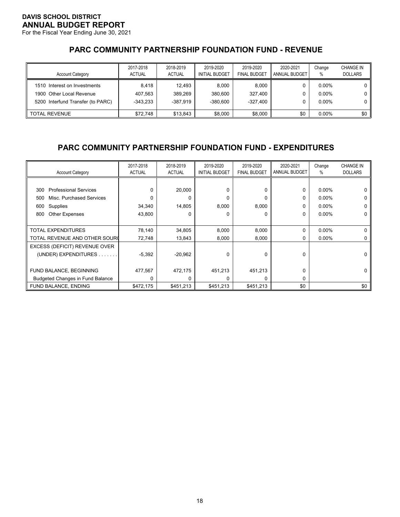For the Fiscal Year Ending June 30, 2021

# **PARC COMMUNITY PARTNERSHIP FOUNDATION FUND - REVENUE**

| <b>Account Category</b>                                                                       | 2017-2018<br><b>ACTUAL</b>   | 2018-2019<br><b>ACTUAL</b>      | 2019-2020<br><b>INITIAL BUDGET</b> | 2019-2020<br><b>FINAL BUDGET</b> | 2020-2021<br>ANNUAL BUDGET | Change<br>%                      | <b>CHANGE IN</b><br><b>DOLLARS</b> |
|-----------------------------------------------------------------------------------------------|------------------------------|---------------------------------|------------------------------------|----------------------------------|----------------------------|----------------------------------|------------------------------------|
| 1510 Interest on Investments<br>1900 Other Local Revenue<br>5200 Interfund Transfer (to PARC) | 8.418<br>407.563<br>-343.233 | 12.493<br>389.269<br>$-387.919$ | 8.000<br>380.600<br>$-380.600$     | 8.000<br>327.400<br>-327.400     |                            | $0.00\%$<br>$0.00\%$<br>$0.00\%$ | 0<br>0                             |
| <b>TOTAL REVENUE</b>                                                                          | \$72.748                     | \$13.843                        | \$8.000                            | \$8.000                          | \$0                        | $0.00\%$                         | \$0                                |

# **PARC COMMUNITY PARTNERSHIP FOUNDATION FUND - EXPENDITURES**

| <b>Account Category</b>                 | 2017-2018<br><b>ACTUAL</b> | 2018-2019<br><b>ACTUAL</b> | 2019-2020<br><b>INITIAL BUDGET</b> | 2019-2020<br><b>FINAL BUDGET</b> | 2020-2021<br><b>ANNUAL BUDGET</b> | Change<br>℅ | <b>CHANGE IN</b><br><b>DOLLARS</b> |
|-----------------------------------------|----------------------------|----------------------------|------------------------------------|----------------------------------|-----------------------------------|-------------|------------------------------------|
|                                         |                            |                            |                                    |                                  |                                   |             |                                    |
| <b>Professional Services</b><br>300     | $\Omega$                   | 20,000                     | 0                                  | 0                                | 0                                 | $0.00\%$    | 0                                  |
| Misc. Purchased Services<br>500         | $\Omega$                   | 0                          | $\Omega$                           | 0                                | 0                                 | $0.00\%$    | 0                                  |
| Supplies<br>600                         | 34,340                     | 14,805                     | 8,000                              | 8,000                            | $\Omega$                          | $0.00\%$    | 0                                  |
| Other Expenses<br>800                   | 43,800                     | O                          | $\Omega$                           | 0                                | 0                                 | $0.00\%$    | 0                                  |
|                                         |                            |                            |                                    |                                  |                                   |             |                                    |
| <b>TOTAL EXPENDITURES</b>               | 78,140                     | 34,805                     | 8,000                              | 8,000                            | 0                                 | $0.00\%$    | 0                                  |
| TOTAL REVENUE AND OTHER SOUR(           | 72,748                     | 13,843                     | 8,000                              | 8,000                            | 0                                 | $0.00\%$    |                                    |
| EXCESS (DEFICIT) REVENUE OVER           |                            |                            |                                    |                                  |                                   |             |                                    |
| (UNDER) EXPENDITURES                    | $-5,392$                   | $-20,962$                  | $\Omega$                           | 0                                | $\mathbf 0$                       |             | 0                                  |
|                                         |                            |                            |                                    |                                  |                                   |             |                                    |
| FUND BALANCE, BEGINNING                 | 477,567                    | 472,175                    | 451,213                            | 451,213                          | 0                                 |             | 0                                  |
| <b>Budgeted Changes in Fund Balance</b> | 0                          |                            | <sup>0</sup>                       | 0                                | 0                                 |             |                                    |
| FUND BALANCE, ENDING                    | \$472,175                  | \$451,213                  | \$451.213                          | \$451,213                        | \$0                               |             | \$0                                |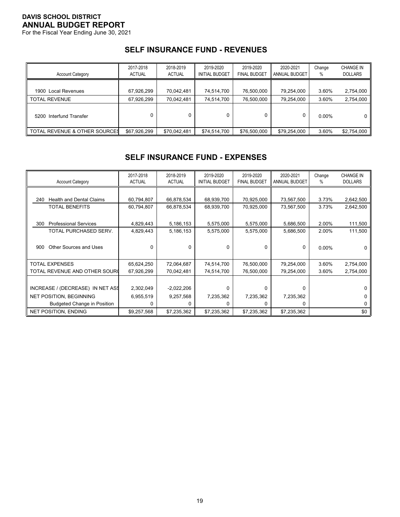For the Fiscal Year Ending June 30, 2021

### **SELF INSURANCE FUND - REVENUES**

| <b>Account Category</b>       | 2017-2018<br><b>ACTUAL</b> | 2018-2019<br><b>ACTUAL</b> | 2019-2020<br><b>INITIAL BUDGET</b> | 2019-2020<br><b>FINAL BUDGET</b> | 2020-2021<br>ANNUAL BUDGET | Change<br>% | <b>CHANGE IN</b><br><b>DOLLARS</b> |
|-------------------------------|----------------------------|----------------------------|------------------------------------|----------------------------------|----------------------------|-------------|------------------------------------|
| 1900 Local Revenues           | 67,926,299                 | 70,042,481                 | 74,514,700                         | 76,500,000                       | 79,254,000                 | 3.60%       | 2,754,000                          |
| <b>TOTAL REVENUE</b>          | 67,926,299                 | 70,042,481                 | 74,514,700                         | 76,500,000                       | 79,254,000                 | 3.60%       | 2,754,000                          |
| 5200 Interfund Transfer       |                            |                            |                                    |                                  | 0                          | $0.00\%$    | 0                                  |
| TOTAL REVENUE & OTHER SOURCES | \$67,926,299               | \$70,042,481               | \$74,514,700                       | \$76,500,000                     | \$79,254,000               | 3.60%       | \$2,754,000                        |

# **SELF INSURANCE FUND - EXPENSES**

| <b>Account Category</b>                | 2017-2018<br><b>ACTUAL</b> | 2018-2019<br><b>ACTUAL</b> | 2019-2020<br><b>INITIAL BUDGET</b> | 2019-2020<br><b>FINAL BUDGET</b> | 2020-2021<br>ANNUAL BUDGET | Change<br>% | <b>CHANGE IN</b><br><b>DOLLARS</b> |
|----------------------------------------|----------------------------|----------------------------|------------------------------------|----------------------------------|----------------------------|-------------|------------------------------------|
|                                        |                            |                            |                                    |                                  |                            |             |                                    |
| <b>Health and Dental Claims</b><br>240 | 60,794,807                 | 66,878,534                 | 68,939,700                         | 70,925,000                       | 73,567,500                 | 3.73%       | 2,642,500                          |
| <b>TOTAL BENEFITS</b>                  | 60,794,807                 | 66,878,534                 | 68,939,700                         | 70,925,000                       | 73,567,500                 | 3.73%       | 2,642,500                          |
|                                        |                            |                            |                                    |                                  |                            |             |                                    |
| <b>Professional Services</b><br>300    | 4,829,443                  | 5,186,153                  | 5,575,000                          | 5,575,000                        | 5,686,500                  | 2.00%       | 111,500                            |
| TOTAL PURCHASED SERV.                  | 4,829,443                  | 5,186,153                  | 5,575,000                          | 5,575,000                        | 5,686,500                  | 2.00%       | 111,500                            |
|                                        |                            |                            |                                    |                                  |                            |             |                                    |
| Other Sources and Uses<br>900          | 0                          | <sup>0</sup>               |                                    | 0                                | 0                          | $0.00\%$    | O                                  |
|                                        |                            |                            |                                    |                                  |                            |             |                                    |
| <b>TOTAL EXPENSES</b>                  | 65,624,250                 | 72,064,687                 | 74,514,700                         | 76,500,000                       | 79,254,000                 | 3.60%       | 2,754,000                          |
| TOTAL REVENUE AND OTHER SOUR(          | 67,926,299                 | 70,042,481                 | 74,514,700                         | 76,500,000                       | 79,254,000                 | 3.60%       | 2,754,000                          |
|                                        |                            |                            |                                    |                                  |                            |             |                                    |
| INCREASE / (DECREASE) IN NET ASS       | 2,302,049                  | $-2,022,206$               |                                    | 0                                | 0                          |             |                                    |
| <b>NET POSITION, BEGINNING</b>         | 6,955,519                  | 9,257,568                  | 7,235,362                          | 7,235,362                        | 7,235,362                  |             |                                    |
| <b>Budgeted Change in Position</b>     | 0                          | 0                          |                                    | $\Omega$                         | $\Omega$                   |             |                                    |
| <b>NET POSITION, ENDING</b>            | \$9,257,568                | \$7,235,362                | \$7,235,362                        | \$7,235,362                      | \$7,235,362                |             | \$0                                |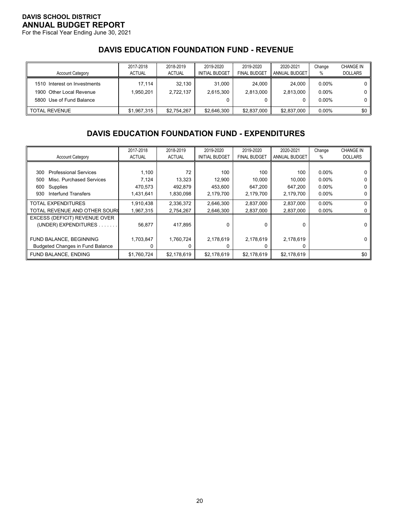For the Fiscal Year Ending June 30, 2021

# **DAVIS EDUCATION FOUNDATION FUND - REVENUE**

| <b>Account Category</b>                                                              | 2017-2018<br><b>ACTUAL</b> | 2018-2019<br><b>ACTUAL</b> | 2019-2020<br><b>INITIAL BUDGET</b> | 2019-2020<br><b>FINAL BUDGET</b> | 2020-2021<br><b>ANNUAL BUDGET</b> | Change<br>$\%$                   | <b>CHANGE IN</b><br><b>DOLLARS</b> |
|--------------------------------------------------------------------------------------|----------------------------|----------------------------|------------------------------------|----------------------------------|-----------------------------------|----------------------------------|------------------------------------|
| 1510 Interest on Investments<br>1900 Other Local Revenue<br>5800 Use of Fund Balance | 17.114<br>1.950.201        | 32.130<br>2.722.137        | 31.000<br>2.615.300                | 24.000<br>2.813.000<br>0         | 24.000<br>2.813.000<br>0          | $0.00\%$<br>$0.00\%$<br>$0.00\%$ |                                    |
| <b>TOTAL REVENUE</b>                                                                 | \$1,967,315                | \$2.754.267                | \$2,646,300                        | \$2,837,000                      | \$2,837,000                       | $0.00\%$                         | \$0                                |

# **DAVIS EDUCATION FOUNDATION FUND - EXPENDITURES**

|                                         | 2017-2018     | 2018-2019     | 2019-2020             | 2019-2020           | 2020-2021     | Change   | <b>CHANGE IN</b> |
|-----------------------------------------|---------------|---------------|-----------------------|---------------------|---------------|----------|------------------|
| <b>Account Category</b>                 | <b>ACTUAL</b> | <b>ACTUAL</b> | <b>INITIAL BUDGET</b> | <b>FINAL BUDGET</b> | ANNUAL BUDGET | %        | <b>DOLLARS</b>   |
|                                         |               |               |                       |                     |               |          |                  |
| <b>Professional Services</b><br>300     | 1,100         | 72            | 100                   | 100                 | 100           | $0.00\%$ |                  |
| Misc. Purchased Services<br>500         | 7,124         | 13,323        | 12,900                | 10,000              | 10,000        | $0.00\%$ |                  |
| Supplies<br>600                         | 470,573       | 492,879       | 453,600               | 647,200             | 647.200       | $0.00\%$ |                  |
| Interfund Transfers<br>930              | 1,431,641     | 1,830,098     | 2,179,700             | 2,179,700           | 2,179,700     | $0.00\%$ |                  |
| <b>TOTAL EXPENDITURES</b>               | 1,910,438     | 2,336,372     | 2,646,300             | 2,837,000           | 2,837,000     | $0.00\%$ |                  |
| TOTAL REVENUE AND OTHER SOURC           | 1,967,315     | 2,754,267     | 2.646.300             | 2,837,000           | 2,837,000     | $0.00\%$ |                  |
| EXCESS (DEFICIT) REVENUE OVER           |               |               |                       |                     |               |          |                  |
| (UNDER) EXPENDITURES.                   | 56,877        | 417,895       | 0                     | 0                   | 0             |          |                  |
|                                         |               |               |                       |                     |               |          |                  |
| FUND BALANCE, BEGINNING                 | 1,703,847     | 1,760,724     | 2,178,619             | 2,178,619           | 2,178,619     |          |                  |
| <b>Budgeted Changes in Fund Balance</b> | 0             | n             |                       | 0                   | 0             |          |                  |
| FUND BALANCE, ENDING                    | \$1,760,724   | \$2,178,619   | \$2,178,619           | \$2,178,619         | \$2,178,619   |          | \$0              |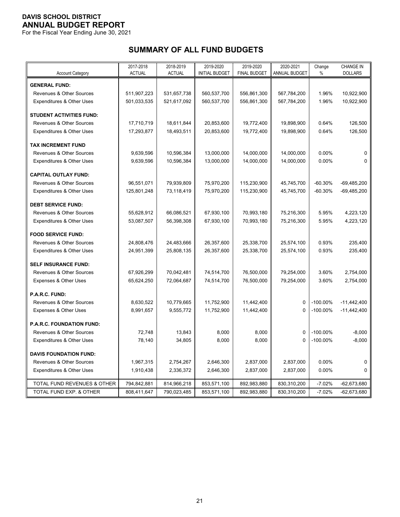For the Fiscal Year Ending June 30, 2021

# **SUMMARY OF ALL FUND BUDGETS**

| <b>DOLLARS</b><br><b>ACTUAL</b><br><b>ACTUAL</b><br><b>INITIAL BUDGET</b><br><b>FINAL BUDGET</b><br>ANNUAL BUDGET<br>$\%$<br><b>Account Category</b><br><b>GENERAL FUND:</b><br>Revenues & Other Sources<br>511,907,223<br>531,657,738<br>560,537,700<br>556,861,300<br>567,784,200<br>1.96%<br>10,922,900<br>501,033,535<br>521,617,092<br>560,537,700<br>556,861,300<br>567,784,200<br>1.96%<br>10,922,900<br>Expenditures & Other Uses<br><b>STUDENT ACTIVITIES FUND:</b><br>Revenues & Other Sources<br>17,710,719<br>18,611,844<br>20,853,600<br>19,772,400<br>19,898,900<br>0.64%<br>126,500<br>Expenditures & Other Uses<br>17,293,877<br>18,493,511<br>20,853,600<br>19,772,400<br>19,898,900<br>0.64%<br>126,500<br><b>TAX INCREMENT FUND</b><br>14,000,000<br>14,000,000<br>Revenues & Other Sources<br>9,639,596<br>10,596,384<br>13,000,000<br>0.00%<br>$\Omega$<br>0.00%<br>Expenditures & Other Uses<br>9,639,596<br>10,596,384<br>13,000,000<br>14,000,000<br>14,000,000<br>$\Omega$<br><b>CAPITAL OUTLAY FUND:</b><br>Revenues & Other Sources<br>96,551,071<br>79,939,809<br>75,970,200<br>115,230,900<br>45,745,700<br>$-60.30%$<br>$-69,485,200$<br>Expenditures & Other Uses<br>125,801,248<br>73,118,419<br>75,970,200<br>115,230,900<br>45,745,700<br>$-60.30%$<br>$-69,485,200$<br><b>DEBT SERVICE FUND:</b><br>67,930,100<br><b>Revenues &amp; Other Sources</b><br>55,628,912<br>66,086,521<br>70,993,180<br>75,216,300<br>5.95%<br>4,223,120<br>67,930,100<br>Expenditures & Other Uses<br>53,087,507<br>56,398,308<br>70,993,180<br>75,216,300<br>5.95%<br>4,223,120<br><b>FOOD SERVICE FUND:</b><br>Revenues & Other Sources<br>24,483,666<br>26,357,600<br>25,338,700<br>0.93%<br>235,400<br>24,808,476<br>25,574,100<br>Expenditures & Other Uses<br>26,357,600<br>0.93%<br>235,400<br>24,951,399<br>25,808,135<br>25,338,700<br>25,574,100<br><b>SELF INSURANCE FUND:</b><br>Revenues & Other Sources<br>67,926,299<br>70,042,481<br>74,514,700<br>76,500,000<br>79,254,000<br>3.60%<br>2,754,000<br>76,500,000<br>3.60%<br>2,754,000<br>Expenses & Other Uses<br>65,624,250<br>72,064,687<br>74,514,700<br>79,254,000<br>P.A.R.C. FUND:<br><b>Revenues &amp; Other Sources</b><br>8,630,522<br>10,779,665<br>11,752,900<br>11,442,400<br>$\mathbf 0$<br>$-100.00\%$<br>$-11,442,400$<br>11,442,400<br>$-11,442,400$<br>Expenses & Other Uses<br>8,991,657<br>9,555,772<br>11,752,900<br>$\Omega$<br>$-100.00\%$<br><b>P.A.R.C. FOUNDATION FUND:</b><br>Revenues & Other Sources<br>13,843<br>8,000<br>8,000<br>$\mathbf 0$<br>$-100.00\%$<br>$-8,000$<br>72,748<br>Expenditures & Other Uses<br>34,805<br>8,000<br>8,000<br>$\Omega$<br>$-100.00\%$<br>$-8,000$<br>78,140<br><b>DAVIS FOUNDATION FUND:</b><br>Revenues & Other Sources<br>1,967,315<br>2,754,267<br>2,646,300<br>2,837,000<br>2,837,000<br>0.00%<br>0<br>2,646,300<br>0.00%<br>Expenditures & Other Uses<br>1,910,438<br>2,336,372<br>2,837,000<br>2,837,000<br>$\Omega$ |                             | 2017-2018   | 2018-2019   | 2019-2020   | 2019-2020   | 2020-2021   | Change   | <b>CHANGE IN</b> |
|--------------------------------------------------------------------------------------------------------------------------------------------------------------------------------------------------------------------------------------------------------------------------------------------------------------------------------------------------------------------------------------------------------------------------------------------------------------------------------------------------------------------------------------------------------------------------------------------------------------------------------------------------------------------------------------------------------------------------------------------------------------------------------------------------------------------------------------------------------------------------------------------------------------------------------------------------------------------------------------------------------------------------------------------------------------------------------------------------------------------------------------------------------------------------------------------------------------------------------------------------------------------------------------------------------------------------------------------------------------------------------------------------------------------------------------------------------------------------------------------------------------------------------------------------------------------------------------------------------------------------------------------------------------------------------------------------------------------------------------------------------------------------------------------------------------------------------------------------------------------------------------------------------------------------------------------------------------------------------------------------------------------------------------------------------------------------------------------------------------------------------------------------------------------------------------------------------------------------------------------------------------------------------------------------------------------------------------------------------------------------------------------------------------------------------------------------------------------------------------------------------------------------------------------------------------------------------------------------------------------------------------------------------------------------------------------------------------------------------------------------------------------------------------------------------------------------------------------------------------------------------------------------------------------------------------------------------------------------|-----------------------------|-------------|-------------|-------------|-------------|-------------|----------|------------------|
|                                                                                                                                                                                                                                                                                                                                                                                                                                                                                                                                                                                                                                                                                                                                                                                                                                                                                                                                                                                                                                                                                                                                                                                                                                                                                                                                                                                                                                                                                                                                                                                                                                                                                                                                                                                                                                                                                                                                                                                                                                                                                                                                                                                                                                                                                                                                                                                                                                                                                                                                                                                                                                                                                                                                                                                                                                                                                                                                                                          |                             |             |             |             |             |             |          |                  |
|                                                                                                                                                                                                                                                                                                                                                                                                                                                                                                                                                                                                                                                                                                                                                                                                                                                                                                                                                                                                                                                                                                                                                                                                                                                                                                                                                                                                                                                                                                                                                                                                                                                                                                                                                                                                                                                                                                                                                                                                                                                                                                                                                                                                                                                                                                                                                                                                                                                                                                                                                                                                                                                                                                                                                                                                                                                                                                                                                                          |                             |             |             |             |             |             |          |                  |
|                                                                                                                                                                                                                                                                                                                                                                                                                                                                                                                                                                                                                                                                                                                                                                                                                                                                                                                                                                                                                                                                                                                                                                                                                                                                                                                                                                                                                                                                                                                                                                                                                                                                                                                                                                                                                                                                                                                                                                                                                                                                                                                                                                                                                                                                                                                                                                                                                                                                                                                                                                                                                                                                                                                                                                                                                                                                                                                                                                          |                             |             |             |             |             |             |          |                  |
|                                                                                                                                                                                                                                                                                                                                                                                                                                                                                                                                                                                                                                                                                                                                                                                                                                                                                                                                                                                                                                                                                                                                                                                                                                                                                                                                                                                                                                                                                                                                                                                                                                                                                                                                                                                                                                                                                                                                                                                                                                                                                                                                                                                                                                                                                                                                                                                                                                                                                                                                                                                                                                                                                                                                                                                                                                                                                                                                                                          |                             |             |             |             |             |             |          |                  |
|                                                                                                                                                                                                                                                                                                                                                                                                                                                                                                                                                                                                                                                                                                                                                                                                                                                                                                                                                                                                                                                                                                                                                                                                                                                                                                                                                                                                                                                                                                                                                                                                                                                                                                                                                                                                                                                                                                                                                                                                                                                                                                                                                                                                                                                                                                                                                                                                                                                                                                                                                                                                                                                                                                                                                                                                                                                                                                                                                                          |                             |             |             |             |             |             |          |                  |
|                                                                                                                                                                                                                                                                                                                                                                                                                                                                                                                                                                                                                                                                                                                                                                                                                                                                                                                                                                                                                                                                                                                                                                                                                                                                                                                                                                                                                                                                                                                                                                                                                                                                                                                                                                                                                                                                                                                                                                                                                                                                                                                                                                                                                                                                                                                                                                                                                                                                                                                                                                                                                                                                                                                                                                                                                                                                                                                                                                          |                             |             |             |             |             |             |          |                  |
|                                                                                                                                                                                                                                                                                                                                                                                                                                                                                                                                                                                                                                                                                                                                                                                                                                                                                                                                                                                                                                                                                                                                                                                                                                                                                                                                                                                                                                                                                                                                                                                                                                                                                                                                                                                                                                                                                                                                                                                                                                                                                                                                                                                                                                                                                                                                                                                                                                                                                                                                                                                                                                                                                                                                                                                                                                                                                                                                                                          |                             |             |             |             |             |             |          |                  |
|                                                                                                                                                                                                                                                                                                                                                                                                                                                                                                                                                                                                                                                                                                                                                                                                                                                                                                                                                                                                                                                                                                                                                                                                                                                                                                                                                                                                                                                                                                                                                                                                                                                                                                                                                                                                                                                                                                                                                                                                                                                                                                                                                                                                                                                                                                                                                                                                                                                                                                                                                                                                                                                                                                                                                                                                                                                                                                                                                                          |                             |             |             |             |             |             |          |                  |
|                                                                                                                                                                                                                                                                                                                                                                                                                                                                                                                                                                                                                                                                                                                                                                                                                                                                                                                                                                                                                                                                                                                                                                                                                                                                                                                                                                                                                                                                                                                                                                                                                                                                                                                                                                                                                                                                                                                                                                                                                                                                                                                                                                                                                                                                                                                                                                                                                                                                                                                                                                                                                                                                                                                                                                                                                                                                                                                                                                          |                             |             |             |             |             |             |          |                  |
|                                                                                                                                                                                                                                                                                                                                                                                                                                                                                                                                                                                                                                                                                                                                                                                                                                                                                                                                                                                                                                                                                                                                                                                                                                                                                                                                                                                                                                                                                                                                                                                                                                                                                                                                                                                                                                                                                                                                                                                                                                                                                                                                                                                                                                                                                                                                                                                                                                                                                                                                                                                                                                                                                                                                                                                                                                                                                                                                                                          |                             |             |             |             |             |             |          |                  |
|                                                                                                                                                                                                                                                                                                                                                                                                                                                                                                                                                                                                                                                                                                                                                                                                                                                                                                                                                                                                                                                                                                                                                                                                                                                                                                                                                                                                                                                                                                                                                                                                                                                                                                                                                                                                                                                                                                                                                                                                                                                                                                                                                                                                                                                                                                                                                                                                                                                                                                                                                                                                                                                                                                                                                                                                                                                                                                                                                                          |                             |             |             |             |             |             |          |                  |
|                                                                                                                                                                                                                                                                                                                                                                                                                                                                                                                                                                                                                                                                                                                                                                                                                                                                                                                                                                                                                                                                                                                                                                                                                                                                                                                                                                                                                                                                                                                                                                                                                                                                                                                                                                                                                                                                                                                                                                                                                                                                                                                                                                                                                                                                                                                                                                                                                                                                                                                                                                                                                                                                                                                                                                                                                                                                                                                                                                          |                             |             |             |             |             |             |          |                  |
|                                                                                                                                                                                                                                                                                                                                                                                                                                                                                                                                                                                                                                                                                                                                                                                                                                                                                                                                                                                                                                                                                                                                                                                                                                                                                                                                                                                                                                                                                                                                                                                                                                                                                                                                                                                                                                                                                                                                                                                                                                                                                                                                                                                                                                                                                                                                                                                                                                                                                                                                                                                                                                                                                                                                                                                                                                                                                                                                                                          |                             |             |             |             |             |             |          |                  |
|                                                                                                                                                                                                                                                                                                                                                                                                                                                                                                                                                                                                                                                                                                                                                                                                                                                                                                                                                                                                                                                                                                                                                                                                                                                                                                                                                                                                                                                                                                                                                                                                                                                                                                                                                                                                                                                                                                                                                                                                                                                                                                                                                                                                                                                                                                                                                                                                                                                                                                                                                                                                                                                                                                                                                                                                                                                                                                                                                                          |                             |             |             |             |             |             |          |                  |
|                                                                                                                                                                                                                                                                                                                                                                                                                                                                                                                                                                                                                                                                                                                                                                                                                                                                                                                                                                                                                                                                                                                                                                                                                                                                                                                                                                                                                                                                                                                                                                                                                                                                                                                                                                                                                                                                                                                                                                                                                                                                                                                                                                                                                                                                                                                                                                                                                                                                                                                                                                                                                                                                                                                                                                                                                                                                                                                                                                          |                             |             |             |             |             |             |          |                  |
|                                                                                                                                                                                                                                                                                                                                                                                                                                                                                                                                                                                                                                                                                                                                                                                                                                                                                                                                                                                                                                                                                                                                                                                                                                                                                                                                                                                                                                                                                                                                                                                                                                                                                                                                                                                                                                                                                                                                                                                                                                                                                                                                                                                                                                                                                                                                                                                                                                                                                                                                                                                                                                                                                                                                                                                                                                                                                                                                                                          |                             |             |             |             |             |             |          |                  |
|                                                                                                                                                                                                                                                                                                                                                                                                                                                                                                                                                                                                                                                                                                                                                                                                                                                                                                                                                                                                                                                                                                                                                                                                                                                                                                                                                                                                                                                                                                                                                                                                                                                                                                                                                                                                                                                                                                                                                                                                                                                                                                                                                                                                                                                                                                                                                                                                                                                                                                                                                                                                                                                                                                                                                                                                                                                                                                                                                                          |                             |             |             |             |             |             |          |                  |
|                                                                                                                                                                                                                                                                                                                                                                                                                                                                                                                                                                                                                                                                                                                                                                                                                                                                                                                                                                                                                                                                                                                                                                                                                                                                                                                                                                                                                                                                                                                                                                                                                                                                                                                                                                                                                                                                                                                                                                                                                                                                                                                                                                                                                                                                                                                                                                                                                                                                                                                                                                                                                                                                                                                                                                                                                                                                                                                                                                          |                             |             |             |             |             |             |          |                  |
|                                                                                                                                                                                                                                                                                                                                                                                                                                                                                                                                                                                                                                                                                                                                                                                                                                                                                                                                                                                                                                                                                                                                                                                                                                                                                                                                                                                                                                                                                                                                                                                                                                                                                                                                                                                                                                                                                                                                                                                                                                                                                                                                                                                                                                                                                                                                                                                                                                                                                                                                                                                                                                                                                                                                                                                                                                                                                                                                                                          |                             |             |             |             |             |             |          |                  |
|                                                                                                                                                                                                                                                                                                                                                                                                                                                                                                                                                                                                                                                                                                                                                                                                                                                                                                                                                                                                                                                                                                                                                                                                                                                                                                                                                                                                                                                                                                                                                                                                                                                                                                                                                                                                                                                                                                                                                                                                                                                                                                                                                                                                                                                                                                                                                                                                                                                                                                                                                                                                                                                                                                                                                                                                                                                                                                                                                                          |                             |             |             |             |             |             |          |                  |
|                                                                                                                                                                                                                                                                                                                                                                                                                                                                                                                                                                                                                                                                                                                                                                                                                                                                                                                                                                                                                                                                                                                                                                                                                                                                                                                                                                                                                                                                                                                                                                                                                                                                                                                                                                                                                                                                                                                                                                                                                                                                                                                                                                                                                                                                                                                                                                                                                                                                                                                                                                                                                                                                                                                                                                                                                                                                                                                                                                          |                             |             |             |             |             |             |          |                  |
|                                                                                                                                                                                                                                                                                                                                                                                                                                                                                                                                                                                                                                                                                                                                                                                                                                                                                                                                                                                                                                                                                                                                                                                                                                                                                                                                                                                                                                                                                                                                                                                                                                                                                                                                                                                                                                                                                                                                                                                                                                                                                                                                                                                                                                                                                                                                                                                                                                                                                                                                                                                                                                                                                                                                                                                                                                                                                                                                                                          |                             |             |             |             |             |             |          |                  |
|                                                                                                                                                                                                                                                                                                                                                                                                                                                                                                                                                                                                                                                                                                                                                                                                                                                                                                                                                                                                                                                                                                                                                                                                                                                                                                                                                                                                                                                                                                                                                                                                                                                                                                                                                                                                                                                                                                                                                                                                                                                                                                                                                                                                                                                                                                                                                                                                                                                                                                                                                                                                                                                                                                                                                                                                                                                                                                                                                                          |                             |             |             |             |             |             |          |                  |
|                                                                                                                                                                                                                                                                                                                                                                                                                                                                                                                                                                                                                                                                                                                                                                                                                                                                                                                                                                                                                                                                                                                                                                                                                                                                                                                                                                                                                                                                                                                                                                                                                                                                                                                                                                                                                                                                                                                                                                                                                                                                                                                                                                                                                                                                                                                                                                                                                                                                                                                                                                                                                                                                                                                                                                                                                                                                                                                                                                          |                             |             |             |             |             |             |          |                  |
|                                                                                                                                                                                                                                                                                                                                                                                                                                                                                                                                                                                                                                                                                                                                                                                                                                                                                                                                                                                                                                                                                                                                                                                                                                                                                                                                                                                                                                                                                                                                                                                                                                                                                                                                                                                                                                                                                                                                                                                                                                                                                                                                                                                                                                                                                                                                                                                                                                                                                                                                                                                                                                                                                                                                                                                                                                                                                                                                                                          |                             |             |             |             |             |             |          |                  |
|                                                                                                                                                                                                                                                                                                                                                                                                                                                                                                                                                                                                                                                                                                                                                                                                                                                                                                                                                                                                                                                                                                                                                                                                                                                                                                                                                                                                                                                                                                                                                                                                                                                                                                                                                                                                                                                                                                                                                                                                                                                                                                                                                                                                                                                                                                                                                                                                                                                                                                                                                                                                                                                                                                                                                                                                                                                                                                                                                                          |                             |             |             |             |             |             |          |                  |
|                                                                                                                                                                                                                                                                                                                                                                                                                                                                                                                                                                                                                                                                                                                                                                                                                                                                                                                                                                                                                                                                                                                                                                                                                                                                                                                                                                                                                                                                                                                                                                                                                                                                                                                                                                                                                                                                                                                                                                                                                                                                                                                                                                                                                                                                                                                                                                                                                                                                                                                                                                                                                                                                                                                                                                                                                                                                                                                                                                          |                             |             |             |             |             |             |          |                  |
|                                                                                                                                                                                                                                                                                                                                                                                                                                                                                                                                                                                                                                                                                                                                                                                                                                                                                                                                                                                                                                                                                                                                                                                                                                                                                                                                                                                                                                                                                                                                                                                                                                                                                                                                                                                                                                                                                                                                                                                                                                                                                                                                                                                                                                                                                                                                                                                                                                                                                                                                                                                                                                                                                                                                                                                                                                                                                                                                                                          |                             |             |             |             |             |             |          |                  |
|                                                                                                                                                                                                                                                                                                                                                                                                                                                                                                                                                                                                                                                                                                                                                                                                                                                                                                                                                                                                                                                                                                                                                                                                                                                                                                                                                                                                                                                                                                                                                                                                                                                                                                                                                                                                                                                                                                                                                                                                                                                                                                                                                                                                                                                                                                                                                                                                                                                                                                                                                                                                                                                                                                                                                                                                                                                                                                                                                                          |                             |             |             |             |             |             |          |                  |
|                                                                                                                                                                                                                                                                                                                                                                                                                                                                                                                                                                                                                                                                                                                                                                                                                                                                                                                                                                                                                                                                                                                                                                                                                                                                                                                                                                                                                                                                                                                                                                                                                                                                                                                                                                                                                                                                                                                                                                                                                                                                                                                                                                                                                                                                                                                                                                                                                                                                                                                                                                                                                                                                                                                                                                                                                                                                                                                                                                          |                             |             |             |             |             |             |          |                  |
|                                                                                                                                                                                                                                                                                                                                                                                                                                                                                                                                                                                                                                                                                                                                                                                                                                                                                                                                                                                                                                                                                                                                                                                                                                                                                                                                                                                                                                                                                                                                                                                                                                                                                                                                                                                                                                                                                                                                                                                                                                                                                                                                                                                                                                                                                                                                                                                                                                                                                                                                                                                                                                                                                                                                                                                                                                                                                                                                                                          |                             |             |             |             |             |             |          |                  |
|                                                                                                                                                                                                                                                                                                                                                                                                                                                                                                                                                                                                                                                                                                                                                                                                                                                                                                                                                                                                                                                                                                                                                                                                                                                                                                                                                                                                                                                                                                                                                                                                                                                                                                                                                                                                                                                                                                                                                                                                                                                                                                                                                                                                                                                                                                                                                                                                                                                                                                                                                                                                                                                                                                                                                                                                                                                                                                                                                                          |                             |             |             |             |             |             |          |                  |
|                                                                                                                                                                                                                                                                                                                                                                                                                                                                                                                                                                                                                                                                                                                                                                                                                                                                                                                                                                                                                                                                                                                                                                                                                                                                                                                                                                                                                                                                                                                                                                                                                                                                                                                                                                                                                                                                                                                                                                                                                                                                                                                                                                                                                                                                                                                                                                                                                                                                                                                                                                                                                                                                                                                                                                                                                                                                                                                                                                          |                             |             |             |             |             |             |          |                  |
|                                                                                                                                                                                                                                                                                                                                                                                                                                                                                                                                                                                                                                                                                                                                                                                                                                                                                                                                                                                                                                                                                                                                                                                                                                                                                                                                                                                                                                                                                                                                                                                                                                                                                                                                                                                                                                                                                                                                                                                                                                                                                                                                                                                                                                                                                                                                                                                                                                                                                                                                                                                                                                                                                                                                                                                                                                                                                                                                                                          |                             |             |             |             |             |             |          |                  |
|                                                                                                                                                                                                                                                                                                                                                                                                                                                                                                                                                                                                                                                                                                                                                                                                                                                                                                                                                                                                                                                                                                                                                                                                                                                                                                                                                                                                                                                                                                                                                                                                                                                                                                                                                                                                                                                                                                                                                                                                                                                                                                                                                                                                                                                                                                                                                                                                                                                                                                                                                                                                                                                                                                                                                                                                                                                                                                                                                                          | TOTAL FUND REVENUES & OTHER | 794,842,881 | 814,966,218 | 853,571,100 | 892,983,880 | 830,310,200 | $-7.02%$ | -62,673,680      |
| 790,023,485<br><b>TOTAL FUND EXP. &amp; OTHER</b><br>808,411,647<br>853,571,100<br>892,983,880<br>830,310,200<br>$-7.02%$<br>-62,673,680                                                                                                                                                                                                                                                                                                                                                                                                                                                                                                                                                                                                                                                                                                                                                                                                                                                                                                                                                                                                                                                                                                                                                                                                                                                                                                                                                                                                                                                                                                                                                                                                                                                                                                                                                                                                                                                                                                                                                                                                                                                                                                                                                                                                                                                                                                                                                                                                                                                                                                                                                                                                                                                                                                                                                                                                                                 |                             |             |             |             |             |             |          |                  |